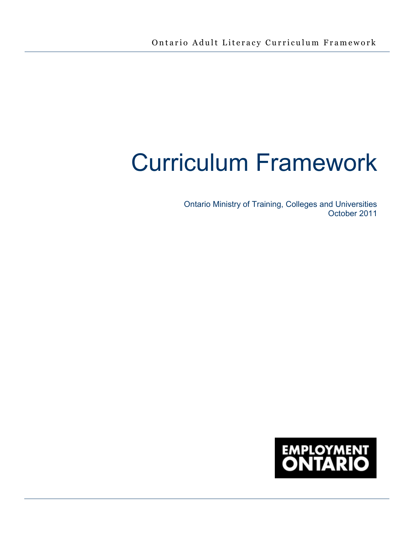# Curriculum Framework

Ontario Ministry of Training, Colleges and Universities October 2011

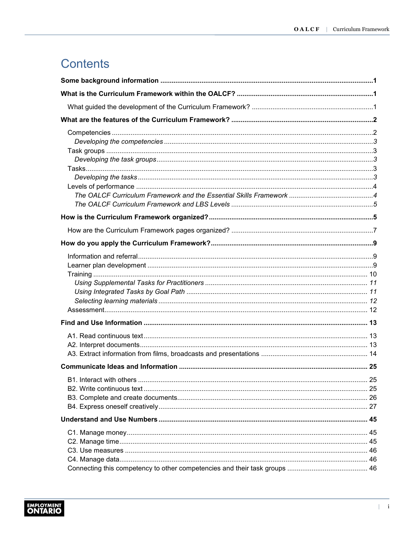# **Contents**

| .25 |
|-----|
|     |
|     |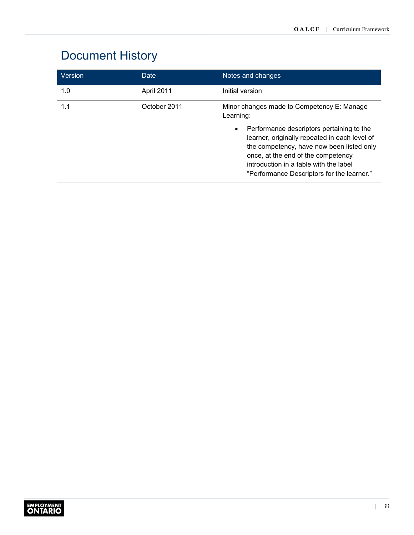# Document History

| <b>Version</b> | Date         | Notes and changes                                                                                                                                                                                                                                                                  |  |  |
|----------------|--------------|------------------------------------------------------------------------------------------------------------------------------------------------------------------------------------------------------------------------------------------------------------------------------------|--|--|
| 1.0            | April 2011   | Initial version                                                                                                                                                                                                                                                                    |  |  |
| 1.1            | October 2011 | Minor changes made to Competency E: Manage<br>Learning:                                                                                                                                                                                                                            |  |  |
|                |              | Performance descriptors pertaining to the<br>$\bullet$<br>learner, originally repeated in each level of<br>the competency, have now been listed only<br>once, at the end of the competency<br>introduction in a table with the label<br>"Performance Descriptors for the learner." |  |  |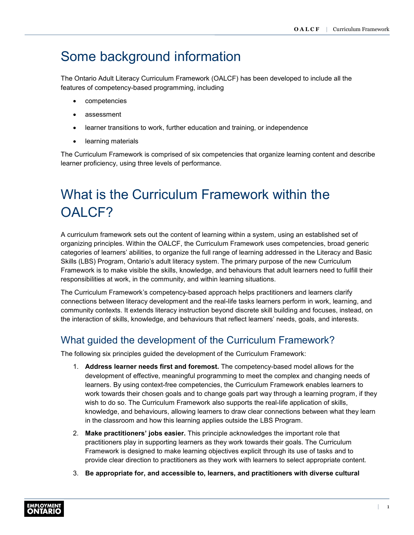# <span id="page-4-0"></span>Some background information

The Ontario Adult Literacy Curriculum Framework (OALCF) has been developed to include all the features of competency-based programming, including

- competencies
- assessment
- learner transitions to work, further education and training, or independence
- learning materials

The Curriculum Framework is comprised of six competencies that organize learning content and describe learner proficiency, using three levels of performance.

# <span id="page-4-1"></span>What is the Curriculum Framework within the OALCF?

A curriculum framework sets out the content of learning within a system, using an established set of organizing principles. Within the OALCF, the Curriculum Framework uses competencies, broad generic categories of learners' abilities, to organize the full range of learning addressed in the Literacy and Basic Skills (LBS) Program, Ontario's adult literacy system. The primary purpose of the new Curriculum Framework is to make visible the skills, knowledge, and behaviours that adult learners need to fulfill their responsibilities at work, in the community, and within learning situations.

The Curriculum Framework's competency-based approach helps practitioners and learners clarify connections between literacy development and the real-life tasks learners perform in work, learning, and community contexts. It extends literacy instruction beyond discrete skill building and focuses, instead, on the interaction of skills, knowledge, and behaviours that reflect learners' needs, goals, and interests.

# <span id="page-4-2"></span>What guided the development of the Curriculum Framework?

The following six principles guided the development of the Curriculum Framework:

- 1. **Address learner needs first and foremost.** The competency-based model allows for the development of effective, meaningful programming to meet the complex and changing needs of learners. By using context-free competencies, the Curriculum Framework enables learners to work towards their chosen goals and to change goals part way through a learning program, if they wish to do so. The Curriculum Framework also supports the real-life application of skills, knowledge, and behaviours, allowing learners to draw clear connections between what they learn in the classroom and how this learning applies outside the LBS Program.
- 2. **Make practitioners' jobs easier.** This principle acknowledges the important role that practitioners play in supporting learners as they work towards their goals. The Curriculum Framework is designed to make learning objectives explicit through its use of tasks and to provide clear direction to practitioners as they work with learners to select appropriate content.
- 3. **Be appropriate for, and accessible to, learners, and practitioners with diverse cultural**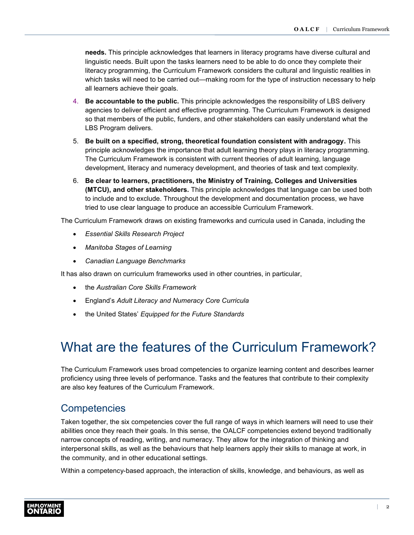**needs.** This principle acknowledges that learners in literacy programs have diverse cultural and linguistic needs. Built upon the tasks learners need to be able to do once they complete their literacy programming, the Curriculum Framework considers the cultural and linguistic realities in which tasks will need to be carried out—making room for the type of instruction necessary to help all learners achieve their goals.

- 4. **Be accountable to the public.** This principle acknowledges the responsibility of LBS delivery agencies to deliver efficient and effective programming. The Curriculum Framework is designed so that members of the public, funders, and other stakeholders can easily understand what the LBS Program delivers.
- 5. **Be built on a specified, strong, theoretical foundation consistent with andragogy.** This principle acknowledges the importance that adult learning theory plays in literacy programming. The Curriculum Framework is consistent with current theories of adult learning, language development, literacy and numeracy development, and theories of task and text complexity.
- 6. **Be clear to learners, practitioners, the Ministry of Training, Colleges and Universities (MTCU), and other stakeholders.** This principle acknowledges that language can be used both to include and to exclude. Throughout the development and documentation process, we have tried to use clear language to produce an accessible Curriculum Framework.

The Curriculum Framework draws on existing frameworks and curricula used in Canada, including the

- *Essential Skills Research Project*
- *Manitoba Stages of Learning*
- *Canadian Language Benchmarks*

It has also drawn on curriculum frameworks used in other countries, in particular,

- the *Australian Core Skills Framework*
- England's *Adult Literacy and Numeracy Core Curricula*
- the United States' *Equipped for the Future Standards*

# <span id="page-5-0"></span>What are the features of the Curriculum Framework?

The Curriculum Framework uses broad competencies to organize learning content and describes learner proficiency using three levels of performance. Tasks and the features that contribute to their complexity are also key features of the Curriculum Framework.

### <span id="page-5-1"></span>**Competencies**

Taken together, the six competencies cover the full range of ways in which learners will need to use their abilities once they reach their goals. In this sense, the OALCF competencies extend beyond traditionally narrow concepts of reading, writing, and numeracy. They allow for the integration of thinking and interpersonal skills, as well as the behaviours that help learners apply their skills to manage at work, in the community, and in other educational settings.

Within a competency-based approach, the interaction of skills, knowledge, and behaviours, as well as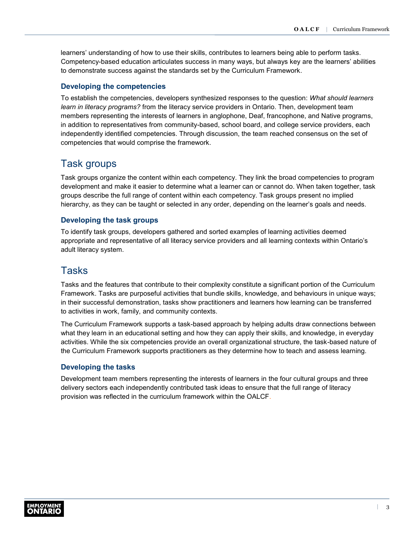learners' understanding of how to use their skills, contributes to learners being able to perform tasks. Competency-based education articulates success in many ways, but always key are the learners' abilities to demonstrate success against the standards set by the Curriculum Framework.

#### <span id="page-6-0"></span>**Developing the competencies**

To establish the competencies, developers synthesized responses to the question: *What should learners learn in literacy programs?* from the literacy service providers in Ontario. Then, development team members representing the interests of learners in anglophone, Deaf, francophone, and Native programs, in addition to representatives from community-based, school board, and college service providers, each independently identified competencies. Through discussion, the team reached consensus on the set of competencies that would comprise the framework.

### <span id="page-6-1"></span>Task groups

Task groups organize the content within each competency. They link the broad competencies to program development and make it easier to determine what a learner can or cannot do. When taken together, task groups describe the full range of content within each competency. Task groups present no implied hierarchy, as they can be taught or selected in any order, depending on the learner's goals and needs.

#### <span id="page-6-2"></span>**Developing the task groups**

To identify task groups, developers gathered and sorted examples of learning activities deemed appropriate and representative of all literacy service providers and all learning contexts within Ontario's adult literacy system.

### <span id="page-6-3"></span>Tasks

Tasks and the features that contribute to their complexity constitute a significant portion of the Curriculum Framework. Tasks are purposeful activities that bundle skills, knowledge, and behaviours in unique ways; in their successful demonstration, tasks show practitioners and learners how learning can be transferred to activities in work, family, and community contexts.

The Curriculum Framework supports a task-based approach by helping adults draw connections between what they learn in an educational setting and how they can apply their skills, and knowledge, in everyday activities. While the six competencies provide an overall organizational structure, the task-based nature of the Curriculum Framework supports practitioners as they determine how to teach and assess learning.

#### <span id="page-6-4"></span>**Developing the tasks**

Development team members representing the interests of learners in the four cultural groups and three delivery sectors each independently contributed task ideas to ensure that the full range of literacy provision was reflected in the curriculum framework within the OALCF.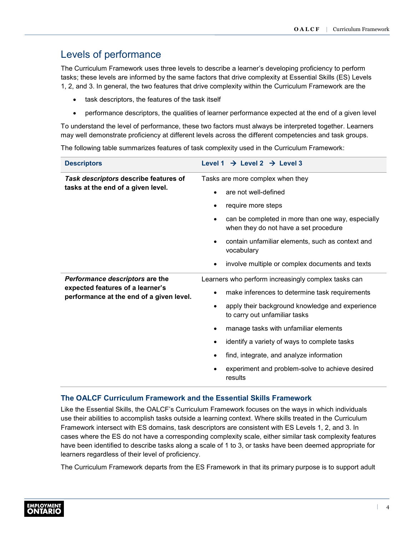# <span id="page-7-0"></span>Levels of performance

The Curriculum Framework uses three levels to describe a learner's developing proficiency to perform tasks; these levels are informed by the same factors that drive complexity at Essential Skills (ES) Levels 1, 2, and 3. In general, the two features that drive complexity within the Curriculum Framework are the

- task descriptors, the features of the task itself
- performance descriptors, the qualities of learner performance expected at the end of a given level

To understand the level of performance, these two factors must always be interpreted together. Learners may well demonstrate proficiency at different levels across the different competencies and task groups.

The following table summarizes features of task complexity used in the Curriculum Framework:

| <b>Descriptors</b>                                                           | Level 1 $\rightarrow$ Level 2 $\rightarrow$ Level 3                                        |
|------------------------------------------------------------------------------|--------------------------------------------------------------------------------------------|
| Task descriptors describe features of                                        | Tasks are more complex when they                                                           |
| tasks at the end of a given level.                                           | are not well-defined<br>$\bullet$                                                          |
|                                                                              | require more steps                                                                         |
|                                                                              | can be completed in more than one way, especially<br>when they do not have a set procedure |
|                                                                              | contain unfamiliar elements, such as context and<br>$\bullet$<br>vocabulary                |
|                                                                              | involve multiple or complex documents and texts<br>$\bullet$                               |
| Performance descriptors are the                                              | Learners who perform increasingly complex tasks can                                        |
| expected features of a learner's<br>performance at the end of a given level. | make inferences to determine task requirements                                             |
|                                                                              | apply their background knowledge and experience<br>to carry out unfamiliar tasks           |
|                                                                              | manage tasks with unfamiliar elements<br>$\bullet$                                         |
|                                                                              | identify a variety of ways to complete tasks                                               |
|                                                                              | find, integrate, and analyze information<br>$\bullet$                                      |
|                                                                              | experiment and problem-solve to achieve desired<br>results                                 |

#### <span id="page-7-1"></span>**The OALCF Curriculum Framework and the Essential Skills Framework**

Like the Essential Skills, the OALCF's Curriculum Framework focuses on the ways in which individuals use their abilities to accomplish tasks outside a learning context. Where skills treated in the Curriculum Framework intersect with ES domains, task descriptors are consistent with ES Levels 1, 2, and 3. In cases where the ES do not have a corresponding complexity scale, either similar task complexity features have been identified to describe tasks along a scale of 1 to 3, or tasks have been deemed appropriate for learners regardless of their level of proficiency.

The Curriculum Framework departs from the ES Framework in that its primary purpose is to support adult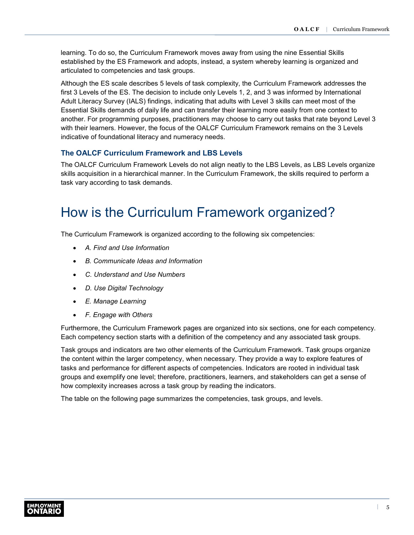learning. To do so, the Curriculum Framework moves away from using the nine Essential Skills established by the ES Framework and adopts, instead, a system whereby learning is organized and articulated to competencies and task groups.

Although the ES scale describes 5 levels of task complexity, the Curriculum Framework addresses the first 3 Levels of the ES. The decision to include only Levels 1, 2, and 3 was informed by International Adult Literacy Survey (IALS) findings, indicating that adults with Level 3 skills can meet most of the Essential Skills demands of daily life and can transfer their learning more easily from one context to another. For programming purposes, practitioners may choose to carry out tasks that rate beyond Level 3 with their learners. However, the focus of the OALCF Curriculum Framework remains on the 3 Levels indicative of foundational literacy and numeracy needs.

#### <span id="page-8-0"></span>**The OALCF Curriculum Framework and LBS Levels**

The OALCF Curriculum Framework Levels do not align neatly to the LBS Levels, as LBS Levels organize skills acquisition in a hierarchical manner. In the Curriculum Framework, the skills required to perform a task vary according to task demands.

# <span id="page-8-1"></span>How is the Curriculum Framework organized?

The Curriculum Framework is organized according to the following six competencies:

- *A. Find and Use Information*
- *B. Communicate Ideas and Information*
- *C. Understand and Use Numbers*
- *D. Use Digital Technology*
- *E. Manage Learning*
- *F. Engage with Others*

Furthermore, the Curriculum Framework pages are organized into six sections, one for each competency. Each competency section starts with a definition of the competency and any associated task groups.

Task groups and indicators are two other elements of the Curriculum Framework. Task groups organize the content within the larger competency, when necessary. They provide a way to explore features of tasks and performance for different aspects of competencies. Indicators are rooted in individual task groups and exemplify one level; therefore, practitioners, learners, and stakeholders can get a sense of how complexity increases across a task group by reading the indicators.

The table on the following page summarizes the competencies, task groups, and levels.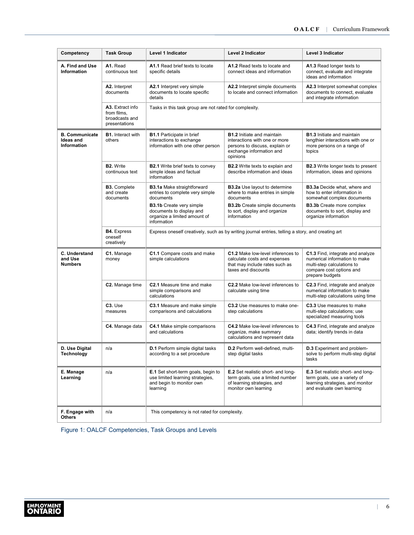| Competency                                                      | <b>Task Group</b>                                                  | Level 1 Indicator                                                                                                                                                                               | Level 2 Indicator                                                                                                                                                                                                                                                                                                                                                              | Level 3 Indicator                                                                                                                              |  |
|-----------------------------------------------------------------|--------------------------------------------------------------------|-------------------------------------------------------------------------------------------------------------------------------------------------------------------------------------------------|--------------------------------------------------------------------------------------------------------------------------------------------------------------------------------------------------------------------------------------------------------------------------------------------------------------------------------------------------------------------------------|------------------------------------------------------------------------------------------------------------------------------------------------|--|
| A. Find and Use<br><b>Information</b>                           | A1. Read<br>continuous text                                        | A1.1 Read brief texts to locate<br>A1.2 Read texts to locate and<br>specific details<br>connect ideas and information                                                                           |                                                                                                                                                                                                                                                                                                                                                                                | A1.3 Read longer texts to<br>connect, evaluate and integrate<br>ideas and information                                                          |  |
|                                                                 | A2. Interpret<br>documents                                         | A2.1 Interpret very simple<br>documents to locate specific<br>details                                                                                                                           | A2.2 Interpret simple documents<br>to locate and connect information                                                                                                                                                                                                                                                                                                           | A2.3 Interpret somewhat complex<br>documents to connect, evaluate<br>and integrate information                                                 |  |
|                                                                 | A3. Extract info<br>from films.<br>broadcasts and<br>presentations | Tasks in this task group are not rated for complexity.                                                                                                                                          |                                                                                                                                                                                                                                                                                                                                                                                |                                                                                                                                                |  |
| <b>B. Communicate</b><br><b>Ideas and</b><br><b>Information</b> | <b>B1.</b> Interact with<br>others                                 | <b>B1.1</b> Participate in brief<br>interactions to exchange<br>information with one other person                                                                                               | <b>B1.2</b> Initiate and maintain<br>interactions with one or more<br>persons to discuss, explain or<br>exchange information and<br>opinions                                                                                                                                                                                                                                   | <b>B1.3</b> Initiate and maintain<br>lengthier interactions with one or<br>more persons on a range of<br>topics                                |  |
|                                                                 | <b>B2.</b> Write<br>continuous text                                | <b>B2.1</b> Write brief texts to convey<br>simple ideas and factual<br>information                                                                                                              | <b>B2.2</b> Write texts to explain and<br>describe information and ideas                                                                                                                                                                                                                                                                                                       | <b>B2.3</b> Write longer texts to present<br>information, ideas and opinions                                                                   |  |
|                                                                 | <b>B3.</b> Complete<br>and create<br>documents                     | <b>B3.1a</b> Make straightforward<br>entries to complete very simple<br>documents<br><b>B3.1b</b> Create very simple<br>documents to display and<br>organize a limited amount of<br>information | <b>B3.3a</b> Decide what, where and<br><b>B3.2a</b> Use layout to determine<br>where to make entries in simple<br>how to enter information in<br>documents<br>somewhat complex documents<br><b>B3.2b</b> Create simple documents<br><b>B3.3b</b> Create more complex<br>to sort, display and organize<br>documents to sort, display and<br>information<br>organize information |                                                                                                                                                |  |
|                                                                 | <b>B4.</b> Express<br>oneself<br>creatively                        | Express oneself creatively, such as by writing journal entries, telling a story, and creating art                                                                                               |                                                                                                                                                                                                                                                                                                                                                                                |                                                                                                                                                |  |
| C. Understand<br>and Use<br><b>Numbers</b>                      | C1. Manage<br>money                                                | C1.1 Compare costs and make<br>simple calculations                                                                                                                                              | C1.2 Make low-level inferences to<br>calculate costs and expenses<br>that may include rates such as<br>taxes and discounts                                                                                                                                                                                                                                                     | C1.3 Find, integrate and analyze<br>numerical information to make<br>multi-step calculations to<br>compare cost options and<br>prepare budgets |  |
|                                                                 | C2. Manage time                                                    | C2.1 Measure time and make<br>simple comparisons and<br>calculations                                                                                                                            | C2.2 Make low-level inferences to<br>calculate using time                                                                                                                                                                                                                                                                                                                      | C2.3 Find, integrate and analyze<br>numerical information to make<br>multi-step calculations using time                                        |  |
|                                                                 | C <sub>3</sub> . Use<br>measures                                   | C3.1 Measure and make simple<br>comparisons and calculations                                                                                                                                    | C3.2 Use measures to make one-<br>step calculations                                                                                                                                                                                                                                                                                                                            | C3.3 Use measures to make<br>multi-step calculations; use<br>specialized measuring tools                                                       |  |
|                                                                 | C4. Manage data                                                    | C4.1 Make simple comparisons<br>and calculations                                                                                                                                                | C4.2 Make low-level inferences to<br>organize, make summary<br>calculations and represent data                                                                                                                                                                                                                                                                                 | C4.3 Find, integrate and analyze<br>data; identify trends in data                                                                              |  |
| D. Use Digital<br>Technology                                    | n/a                                                                | D.1 Perform simple digital tasks<br>according to a set procedure                                                                                                                                | D.2 Perform well-defined, multi-<br>D.3 Experiment and problem-<br>solve to perform multi-step digital<br>step digital tasks<br>tasks                                                                                                                                                                                                                                          |                                                                                                                                                |  |
| E. Manage<br>Learning                                           | n/a                                                                | <b>E.1</b> Set short-term goals, begin to<br>use limited learning strategies,<br>and begin to monitor own<br>learning                                                                           | <b>E.2</b> Set realistic short- and long-<br>term goals, use a limited number<br>of learning strategies, and<br>monitor own learning                                                                                                                                                                                                                                           | <b>E.3</b> Set realistic short- and long-<br>term goals, use a variety of<br>learning strategies, and monitor<br>and evaluate own learning     |  |
| F. Engage with<br>Others                                        | n/a                                                                | This competency is not rated for complexity.                                                                                                                                                    |                                                                                                                                                                                                                                                                                                                                                                                |                                                                                                                                                |  |

Figure 1: OALCF Competencies, Task Groups and Levels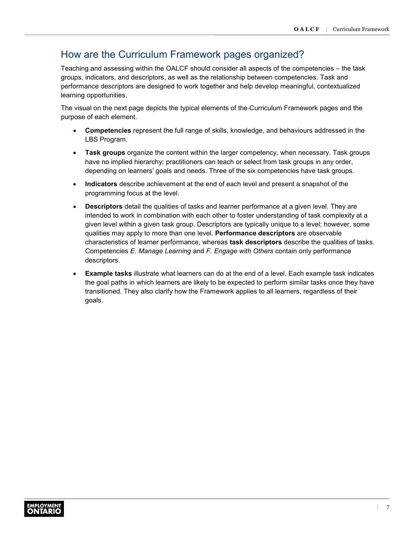# <span id="page-10-0"></span>How are the Curriculum Framework pages organized?

Teaching and assessing within the OALCF should consider all aspects of the competencies – the task groups, indicators, and descriptors, as well as the relationship between competencies. Task and performance descriptors are designed to work together and help develop meaningful, contextualized learning opportunities.

The visual on the next page depicts the typical elements of the Curriculum Framework pages and the purpose of each element.

- **Competencies** represent the full range of skills, knowledge, and behaviours addressed in the LBS Program.
- **Task groups** organize the content within the larger competency, when necessary. Task groups have no implied hierarchy; practitioners can teach or select from task groups in any order, depending on learners' goals and needs. Three of the six competencies have task groups.
- **Indicators** describe achievement at the end of each level and present a snapshot of the programming focus at the level.
- **Descriptors** detail the qualities of tasks and learner performance at a given level. They are intended to work in combination with each other to foster understanding of task complexity at a given level within a given task group. Descriptors are typically unique to a level; however, some qualities may apply to more than one level. **Performance descriptors** are observable characteristics of learner performance, whereas **task descriptors** describe the qualities of tasks. Competencies *E. Manage Learning* and *F. Engage with Others* contain only performance descriptors.
- **Example tasks** illustrate what learners can do at the end of a level. Each example task indicates the goal paths in which learners are likely to be expected to perform similar tasks once they have transitioned. They also clarify how the Framework applies to all learners, regardless of their goals.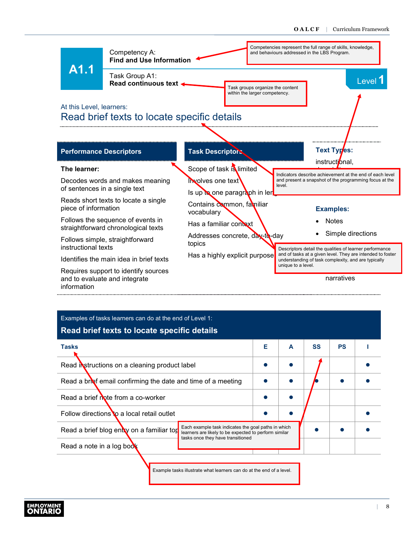

| Examples of tasks learners can do at the end of Level 1:<br>Read brief texts to locate specific details                                                   |   |   |           |           |  |
|-----------------------------------------------------------------------------------------------------------------------------------------------------------|---|---|-----------|-----------|--|
| <b>Tasks</b>                                                                                                                                              | Е | A | <b>SS</b> | <b>PS</b> |  |
| Read instructions on a cleaning product label                                                                                                             |   |   |           |           |  |
| Read a brief email confirming the date and time of a meeting                                                                                              |   |   |           |           |  |
| Read a brief note from a co-worker                                                                                                                        |   |   |           |           |  |
| Follow directions to a local retail outlet                                                                                                                |   |   |           |           |  |
| Each example task indicates the goal paths in which<br>Read a brief blog entry on a familiar top<br>learners are likely to be expected to perform similar |   |   |           |           |  |
| tasks once they have transitioned<br>Read a note in a log book                                                                                            |   |   |           |           |  |
|                                                                                                                                                           |   |   |           |           |  |

Example tasks illustrate what learners can do at the end of a level.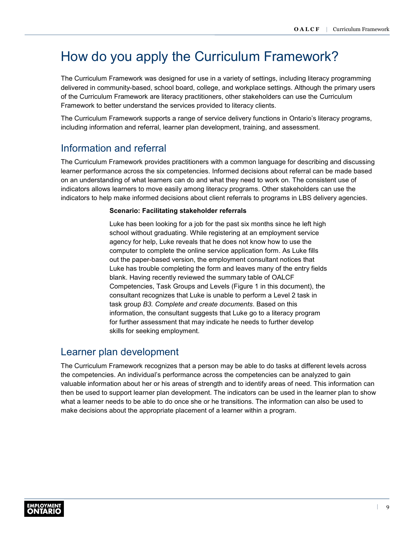# <span id="page-12-0"></span>How do you apply the Curriculum Framework?

The Curriculum Framework was designed for use in a variety of settings, including literacy programming delivered in community-based, school board, college, and workplace settings. Although the primary users of the Curriculum Framework are literacy practitioners, other stakeholders can use the Curriculum Framework to better understand the services provided to literacy clients.

The Curriculum Framework supports a range of service delivery functions in Ontario's literacy programs, including information and referral, learner plan development, training, and assessment.

# <span id="page-12-1"></span>Information and referral

The Curriculum Framework provides practitioners with a common language for describing and discussing learner performance across the six competencies. Informed decisions about referral can be made based on an understanding of what learners can do and what they need to work on. The consistent use of indicators allows learners to move easily among literacy programs. Other stakeholders can use the indicators to help make informed decisions about client referrals to programs in LBS delivery agencies.

#### **Scenario: Facilitating stakeholder referrals**

Luke has been looking for a job for the past six months since he left high school without graduating. While registering at an employment service agency for help, Luke reveals that he does not know how to use the computer to complete the online service application form. As Luke fills out the paper-based version, the employment consultant notices that Luke has trouble completing the form and leaves many of the entry fields blank. Having recently reviewed the summary table of OALCF Competencies, Task Groups and Levels (Figure 1 in this document), the consultant recognizes that Luke is unable to perform a Level 2 task in task group *B3. Complete and create documents*. Based on this information, the consultant suggests that Luke go to a literacy program for further assessment that may indicate he needs to further develop skills for seeking employment.

### <span id="page-12-2"></span>Learner plan development

The Curriculum Framework recognizes that a person may be able to do tasks at different levels across the competencies. An individual's performance across the competencies can be analyzed to gain valuable information about her or his areas of strength and to identify areas of need. This information can then be used to support learner plan development. The indicators can be used in the learner plan to show what a learner needs to be able to do once she or he transitions. The information can also be used to make decisions about the appropriate placement of a learner within a program.

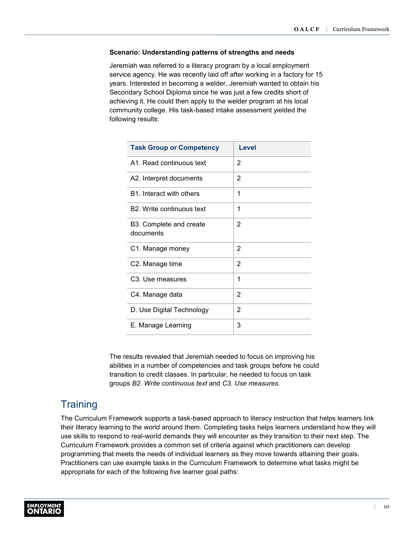#### **Scenario: Understanding patterns of strengths and needs**

Jeremiah was referred to a literacy program by a local employment service agency. He was recently laid off after working in a factory for 15 years. Interested in becoming a welder, Jeremiah wanted to obtain his Secondary School Diploma since he was just a few credits short of achieving it. He could then apply to the welder program at his local community college. His task-based intake assessment yielded the following results:

| <b>Task Group or Competency</b>      | Level |
|--------------------------------------|-------|
| A1. Read continuous text             | 2     |
| A2. Interpret documents              | 2     |
| B1. Interact with others             | 1     |
| B2. Write continuous text            | 1     |
| B3. Complete and create<br>documents | 2     |
| C1. Manage money                     | 2     |
| C2. Manage time                      | 2     |
| C <sub>3</sub> . Use measures        | 1     |
| C4. Manage data                      | 2     |
| D. Use Digital Technology            | 2     |
| E. Manage Learning                   | 3     |

The results revealed that Jeremiah needed to focus on improving his abilities in a number of competencies and task groups before he could transition to credit classes. In particular, he needed to focus on task groups *B2. Write continuous text* and *C3. Use measures.*

# <span id="page-13-0"></span>**Training**

The Curriculum Framework supports a task-based approach to literacy instruction that helps learners link their literacy learning to the world around them. Completing tasks helps learners understand how they will use skills to respond to real-world demands they will encounter as they transition to their next step. The Curriculum Framework provides a common set of criteria against which practitioners can develop programming that meets the needs of individual learners as they move towards attaining their goals. Practitioners can use example tasks in the Curriculum Framework to determine what tasks might be appropriate for each of the following five learner goal paths: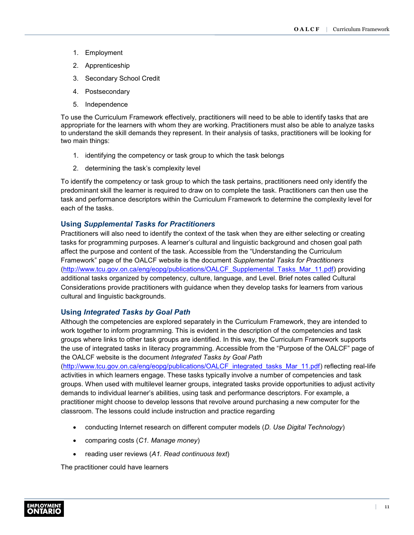- 1. Employment
- 2. Apprenticeship
- 3. Secondary School Credit
- 4. Postsecondary
- 5. Independence

To use the Curriculum Framework effectively, practitioners will need to be able to identify tasks that are appropriate for the learners with whom they are working. Practitioners must also be able to analyze tasks to understand the skill demands they represent. In their analysis of tasks, practitioners will be looking for two main things:

- 1. identifying the competency or task group to which the task belongs
- 2. determining the task's complexity level

To identify the competency or task group to which the task pertains, practitioners need only identify the predominant skill the learner is required to draw on to complete the task. Practitioners can then use the task and performance descriptors within the Curriculum Framework to determine the complexity level for each of the tasks.

#### <span id="page-14-1"></span>**Using** *Supplemental Tasks for Practitioners*

Practitioners will also need to identify the context of the task when they are either selecting or creating tasks for programming purposes. A learner's cultural and linguistic background and chosen goal path affect the purpose and content of the task. Accessible from the "Understanding the Curriculum Framework" page of the OALCF website is the document *Supplemental Tasks for Practitioners* [\(http://www.tcu.gov.on.ca/eng/eopg/publications/OALCF\\_Supplemental\\_Tasks\\_Mar\\_11.pdf](http://www.tcu.gov.on.ca/eng/eopg/publications/OALCF_Supplemental_Tasks_Mar_11.pdf)) providing additional tasks organized by competency, culture, language, and Level. Brief notes called Cultural Considerations provide practitioners with guidance when they develop tasks for learners from various cultural and linguistic backgrounds.

#### <span id="page-14-0"></span>**Using** *Integrated Tasks by Goal Path*

Although the competencies are explored separately in the Curriculum Framework, they are intended to work together to inform programming. This is evident in the description of the competencies and task groups where links to other task groups are identified. In this way, the Curriculum Framework supports the use of integrated tasks in literacy programming. Accessible from the "Purpose of the OALCF" page of the OALCF website is the document *Integrated Tasks by Goal Path*

[\(http://www.tcu.gov.on.ca/eng/eopg/publications/OALCF\\_integrated\\_tasks\\_Mar\\_11.pdf](http://www.tcu.gov.on.ca/eng/eopg/publications/OALCF_integrated_tasks_Mar_11.pdf)) reflecting real-life activities in which learners engage. These tasks typically involve a number of competencies and task groups. When used with multilevel learner groups, integrated tasks provide opportunities to adjust activity demands to individual learner's abilities, using task and performance descriptors. For example, a practitioner might choose to develop lessons that revolve around purchasing a new computer for the classroom. The lessons could include instruction and practice regarding

- conducting Internet research on different computer models (*D. Use Digital Technology*)
- comparing costs (*C1. Manage money*)
- reading user reviews (*A1. Read continuous text*)

The practitioner could have learners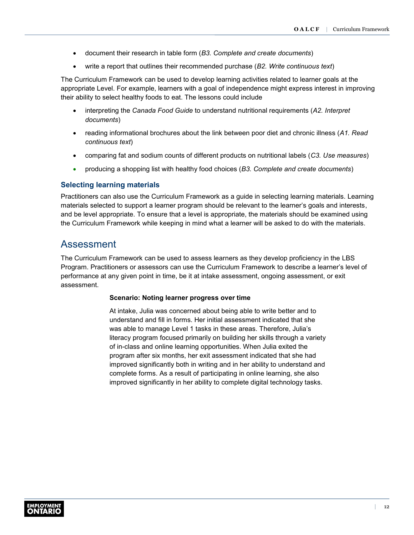- document their research in table form (*B3. Complete and create documents*)
- write a report that outlines their recommended purchase (*B2. Write continuous text*)

The Curriculum Framework can be used to develop learning activities related to learner goals at the appropriate Level. For example, learners with a goal of independence might express interest in improving their ability to select healthy foods to eat. The lessons could include

- interpreting the *Canada Food Guide* to understand nutritional requirements (*A2. Interpret documents*)
- reading informational brochures about the link between poor diet and chronic illness (*A1. Read continuous text*)
- comparing fat and sodium counts of different products on nutritional labels (*C3. Use measures*)
- producing a shopping list with healthy food choices (*B3. Complete and create documents*)

#### <span id="page-15-0"></span>**Selecting learning materials**

Practitioners can also use the Curriculum Framework as a guide in selecting learning materials. Learning materials selected to support a learner program should be relevant to the learner's goals and interests, and be level appropriate. To ensure that a level is appropriate, the materials should be examined using the Curriculum Framework while keeping in mind what a learner will be asked to do with the materials.

#### <span id="page-15-1"></span>Assessment

The Curriculum Framework can be used to assess learners as they develop proficiency in the LBS Program. Practitioners or assessors can use the Curriculum Framework to describe a learner's level of performance at any given point in time, be it at intake assessment, ongoing assessment, or exit assessment.

#### **Scenario: Noting learner progress over time**

At intake, Julia was concerned about being able to write better and to understand and fill in forms. Her initial assessment indicated that she was able to manage Level 1 tasks in these areas. Therefore, Julia's literacy program focused primarily on building her skills through a variety of in-class and online learning opportunities. When Julia exited the program after six months, her exit assessment indicated that she had improved significantly both in writing and in her ability to understand and complete forms. As a result of participating in online learning, she also improved significantly in her ability to complete digital technology tasks.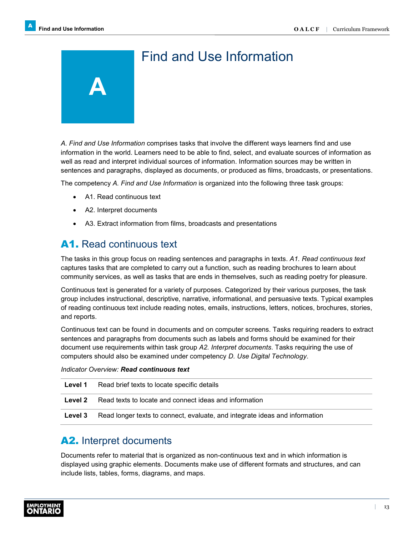# Find and Use Information

*A. Find and Use Information* comprises tasks that involve the different ways learners find and use information in the world. Learners need to be able to find, select, and evaluate sources of information as well as read and interpret individual sources of information. Information sources may be written in sentences and paragraphs, displayed as documents, or produced as films, broadcasts, or presentations.

The competency *A. Find and Use Information* is organized into the following three task groups:

A1. Read continuous text

<span id="page-16-0"></span>**A**

- A2. Interpret documents
- A3. Extract information from films, broadcasts and presentations

# <span id="page-16-1"></span>A1. Read continuous text

The tasks in this group focus on reading sentences and paragraphs in texts. *A1. Read continuous text* captures tasks that are completed to carry out a function, such as reading brochures to learn about community services, as well as tasks that are ends in themselves, such as reading poetry for pleasure.

Continuous text is generated for a variety of purposes. Categorized by their various purposes, the task group includes instructional, descriptive, narrative, informational, and persuasive texts. Typical examples of reading continuous text include reading notes, emails, instructions, letters, notices, brochures, stories, and reports.

Continuous text can be found in documents and on computer screens. Tasks requiring readers to extract sentences and paragraphs from documents such as labels and forms should be examined for their document use requirements within task group *A2. Interpret documents*. Tasks requiring the use of computers should also be examined under competency *D. Use Digital Technology*.

*Indicator Overview: Read continuous text* 

| Level 1        | Read brief texts to locate specific details                                 |
|----------------|-----------------------------------------------------------------------------|
| Level 2        | Read texts to locate and connect ideas and information                      |
| <b>Level 3</b> | Read longer texts to connect, evaluate, and integrate ideas and information |

# <span id="page-16-2"></span>A2. Interpret documents

Documents refer to material that is organized as non-continuous text and in which information is displayed using graphic elements. Documents make use of different formats and structures, and can include lists, tables, forms, diagrams, and maps.

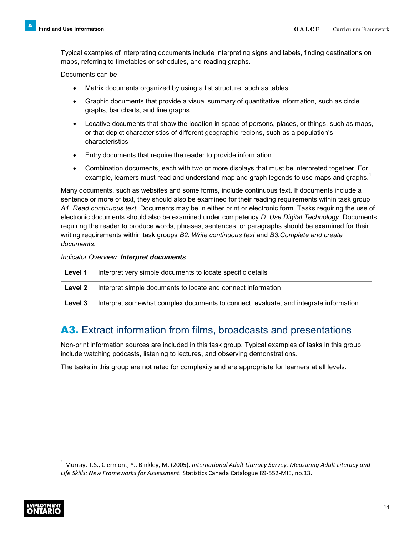Typical examples of interpreting documents include interpreting signs and labels, finding destinations on maps, referring to timetables or schedules, and reading graphs.

Documents can be

- Matrix documents organized by using a list structure, such as tables
- Graphic documents that provide a visual summary of quantitative information, such as circle graphs, bar charts, and line graphs
- Locative documents that show the location in space of persons, places, or things, such as maps, or that depict characteristics of different geographic regions, such as a population's characteristics
- Entry documents that require the reader to provide information
- Combination documents, each with two or more displays that must be interpreted together. For example, learners must read and understand map and graph legends to use maps and graphs.<sup>1</sup>

Many documents, such as websites and some forms, include continuous text. If documents include a sentence or more of text, they should also be examined for their reading requirements within task group *A1. Read continuous text*. Documents may be in either print or electronic form. Tasks requiring the use of electronic documents should also be examined under competency *D. Use Digital Technology*. Documents requiring the reader to produce words, phrases, sentences, or paragraphs should be examined for their writing requirements within task groups *B2. Write continuous text* and *B3.Complete and create documents*.

#### *Indicator Overview: Interpret documents*

| Level 1 | Interpret very simple documents to locate specific details                           |
|---------|--------------------------------------------------------------------------------------|
| Level 2 | Interpret simple documents to locate and connect information                         |
| Level 3 | Interpret somewhat complex documents to connect, evaluate, and integrate information |

# <span id="page-17-0"></span>A3. Extract information from films, broadcasts and presentations

Non-print information sources are included in this task group. Typical examples of tasks in this group include watching podcasts, listening to lectures, and observing demonstrations.

The tasks in this group are not rated for complexity and are appropriate for learners at all levels.

<sup>1</sup> Murray, T.S., Clermont, Y., Binkley, M. (2005). *International Adult Literacy Survey. Measuring Adult Literacy and Life Skills: New Frameworks for Assessment.* Statistics Canada Catalogue 89-552-MIE, no.13.

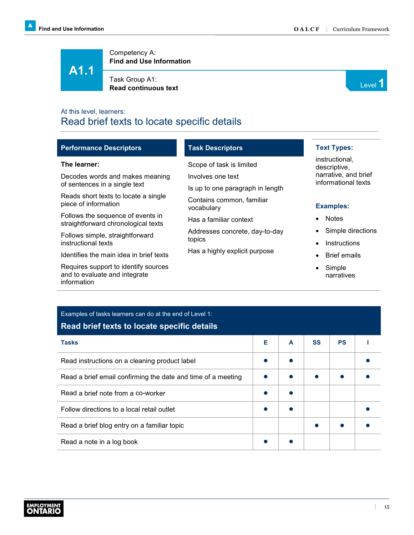Competency A: **Find and Use Information** 

Task Group A1: **Read continuous text 1 <b>Read continuous** text **1** 

### At this level, learners: Read brief texts to locate specific details

| <b>Performance Descriptors</b>                                           | <b>Task Descriptors</b>                 | <b>Text Types:</b>                |
|--------------------------------------------------------------------------|-----------------------------------------|-----------------------------------|
| The learner:                                                             | Scope of task is limited                | instructional,<br>descriptive,    |
| Decodes words and makes meaning                                          | Involves one text                       | narrative, and brief              |
| of sentences in a single text                                            | Is up to one paragraph in length        | informational texts               |
| Reads short texts to locate a single<br>piece of information             | Contains common, familiar<br>vocabulary | <b>Examples:</b>                  |
| Follows the sequence of events in<br>straightforward chronological texts | Has a familiar context                  | <b>Notes</b>                      |
| Follows simple, straightforward                                          | Addresses concrete, day-to-day          | Simple directions<br>$\bullet$    |
| instructional texts                                                      | topics                                  | Instructions<br>$\bullet$         |
| Identifies the main idea in brief texts                                  | Has a highly explicit purpose           | <b>Brief emails</b><br>$\bullet$  |
| Requires support to identify sources<br>and to evaluate and integrate    |                                         | Simple<br>$\bullet$<br>narratives |

| Examples of tasks learners can do at the end of Level 1:<br>Read brief texts to locate specific details |   |   |           |           |  |
|---------------------------------------------------------------------------------------------------------|---|---|-----------|-----------|--|
| <b>Tasks</b>                                                                                            | Е | A | <b>SS</b> | <b>PS</b> |  |
| Read instructions on a cleaning product label                                                           |   |   |           |           |  |
| Read a brief email confirming the date and time of a meeting                                            |   |   |           |           |  |
| Read a brief note from a co-worker                                                                      |   |   |           |           |  |
| Follow directions to a local retail outlet                                                              |   |   |           |           |  |
| Read a brief blog entry on a familiar topic                                                             |   |   |           |           |  |
| Read a note in a log book                                                                               |   |   |           |           |  |

# **A1.1**

information

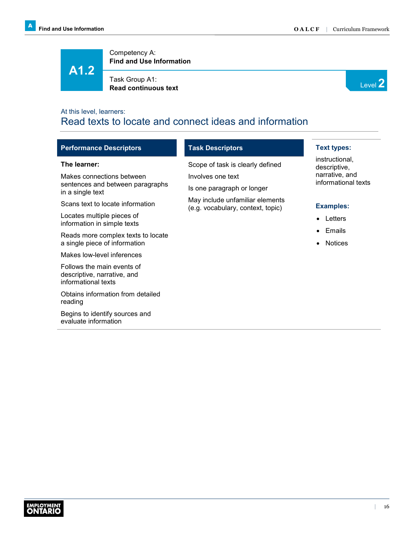**EMPLOYMENT** 

**A1.2**

Competency A: **Find and Use Information** 

Task Group A1: **Read continuous text Read continuous text 2** 



### At this level, learners: Read texts to locate and connect ideas and information

| <b>Performance Descriptors</b>                                                   | <b>Task Descriptors</b>                                              | <b>Text types:</b>                    |
|----------------------------------------------------------------------------------|----------------------------------------------------------------------|---------------------------------------|
| The learner:                                                                     | Scope of task is clearly defined                                     | instructional,<br>descriptive,        |
| Makes connections between                                                        | Involves one text                                                    | narrative, and<br>informational texts |
| sentences and between paragraphs<br>in a single text                             | Is one paragraph or longer                                           |                                       |
| Scans text to locate information                                                 | May include unfamiliar elements<br>(e.g. vocabulary, context, topic) | <b>Examples:</b>                      |
| Locates multiple pieces of<br>information in simple texts                        |                                                                      | Letters<br>$\bullet$                  |
| Reads more complex texts to locate                                               |                                                                      | Emails<br>$\bullet$                   |
| a single piece of information                                                    |                                                                      | <b>Notices</b>                        |
| Makes low-level inferences                                                       |                                                                      |                                       |
| Follows the main events of<br>descriptive, narrative, and<br>informational texts |                                                                      |                                       |
| Obtains information from detailed<br>reading                                     |                                                                      |                                       |
| Begins to identify sources and<br>evaluate information                           |                                                                      |                                       |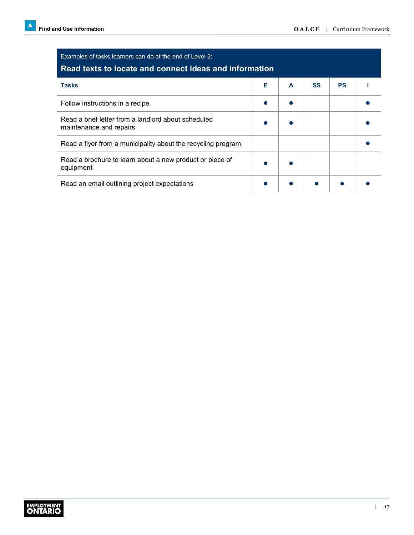| Examples of tasks learners can do at the end of Level 2:<br>Read texts to locate and connect ideas and information |   |   |           |           |  |
|--------------------------------------------------------------------------------------------------------------------|---|---|-----------|-----------|--|
| <b>Tasks</b>                                                                                                       | Е | A | <b>SS</b> | <b>PS</b> |  |
| Follow instructions in a recipe                                                                                    |   |   |           |           |  |
| Read a brief letter from a landlord about scheduled<br>maintenance and repairs                                     |   |   |           |           |  |
| Read a flyer from a municipality about the recycling program                                                       |   |   |           |           |  |
| Read a brochure to learn about a new product or piece of<br>equipment                                              |   |   |           |           |  |
| Read an email outlining project expectations                                                                       |   |   |           |           |  |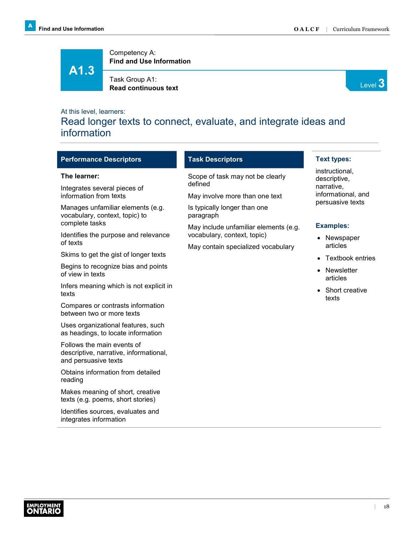# **A1.3**

Competency A: **Find and Use Information** 

Task Group A1: **Read continuous text Read continuous text A** 



#### At this level, learners:

Read longer texts to connect, evaluate, and integrate ideas and information

| <b>Performance Descriptors</b>                                                                              | <b>Task Descriptors</b>                                                                                       | <b>Text types:</b>                                                                     |
|-------------------------------------------------------------------------------------------------------------|---------------------------------------------------------------------------------------------------------------|----------------------------------------------------------------------------------------|
| The learner:<br>Integrates several pieces of<br>information from texts<br>Manages unfamiliar elements (e.g. | Scope of task may not be clearly<br>defined<br>May involve more than one text<br>Is typically longer than one | instructional,<br>descriptive,<br>narrative,<br>informational, and<br>persuasive texts |
| vocabulary, context, topic) to<br>complete tasks<br>Identifies the purpose and relevance                    | paragraph<br>May include unfamiliar elements (e.g.<br>vocabulary, context, topic)                             | <b>Examples:</b>                                                                       |
| of texts<br>Skims to get the gist of longer texts                                                           | May contain specialized vocabulary                                                                            | Newspaper<br>articles                                                                  |
| Begins to recognize bias and points<br>of view in texts                                                     |                                                                                                               | <b>Textbook entries</b><br>$\bullet$<br>Newsletter<br>$\bullet$<br>articles            |
| Infers meaning which is not explicit in<br>texts                                                            |                                                                                                               | <b>Short creative</b><br>$\bullet$<br>texts                                            |
| Compares or contrasts information<br>between two or more texts                                              |                                                                                                               |                                                                                        |
| Uses organizational features, such<br>as headings, to locate information                                    |                                                                                                               |                                                                                        |
| Follows the main events of<br>descriptive, narrative, informational,<br>and persuasive texts                |                                                                                                               |                                                                                        |
| Obtains information from detailed<br>reading                                                                |                                                                                                               |                                                                                        |
| Makes meaning of short, creative<br>texts (e.g. poems, short stories)                                       |                                                                                                               |                                                                                        |

Identifies sources, evaluates and integrates information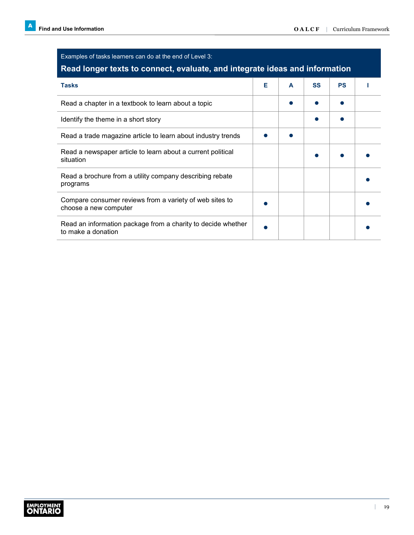| Examples of tasks learners can do at the end of Level 3:<br>Read longer texts to connect, evaluate, and integrate ideas and information |   |   |           |           |  |
|-----------------------------------------------------------------------------------------------------------------------------------------|---|---|-----------|-----------|--|
| <b>Tasks</b>                                                                                                                            | Е | A | <b>SS</b> | <b>PS</b> |  |
| Read a chapter in a textbook to learn about a topic                                                                                     |   |   |           |           |  |
| Identify the theme in a short story                                                                                                     |   |   |           |           |  |
| Read a trade magazine article to learn about industry trends                                                                            |   |   |           |           |  |
| Read a newspaper article to learn about a current political<br>situation                                                                |   |   |           |           |  |
| Read a brochure from a utility company describing rebate<br>programs                                                                    |   |   |           |           |  |
| Compare consumer reviews from a variety of web sites to<br>choose a new computer                                                        |   |   |           |           |  |
| Read an information package from a charity to decide whether<br>to make a donation                                                      |   |   |           |           |  |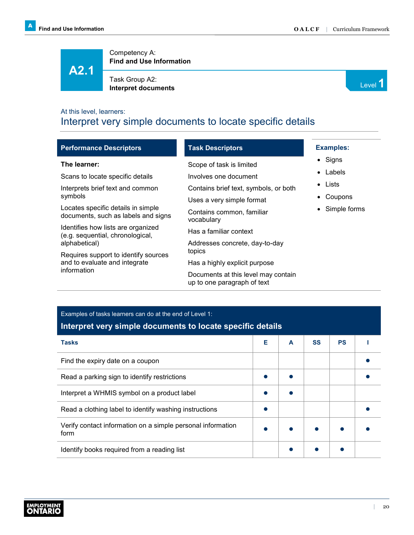**A2.1**

Competency A: **Find and Use Information** 

Task Group A2: **I** don't be used the community of the community of the community of the community of the community of the community of the community of the community of the community of the community of the community of the community of

### At this level, learners: Interpret very simple documents to locate specific details

| <b>Performance Descriptors</b>                                            | <b>Task Descriptors</b>                                            | <b>Examples:</b>   |
|---------------------------------------------------------------------------|--------------------------------------------------------------------|--------------------|
| The learner:                                                              | Scope of task is limited                                           | $\bullet$ Signs    |
| Scans to locate specific details                                          | Involves one document                                              | Labels             |
| Interprets brief text and common                                          | Contains brief text, symbols, or both                              | Lists<br>$\bullet$ |
| symbols                                                                   | Uses a very simple format                                          | Coupons            |
| Locates specific details in simple<br>documents, such as labels and signs | Contains common, familiar<br>vocabulary                            | • Simple forms     |
| Identifies how lists are organized<br>(e.g. sequential, chronological,    | Has a familiar context                                             |                    |
| alphabetical)                                                             | Addresses concrete, day-to-day                                     |                    |
| Requires support to identify sources                                      | topics                                                             |                    |
| and to evaluate and integrate                                             | Has a highly explicit purpose                                      |                    |
| information                                                               | Documents at this level may contain<br>up to one paragraph of text |                    |

# Examples of tasks learners can do at the end of Level 1:

# **Interpret very simple documents to locate specific details Tasks E A SS PS I**  Find the expiry date on a coupon **Example 2** and the expiry date on a coupon Read a parking sign to identify restrictions Interpret a WHMIS symbol on a product label Read a clothing label to identify washing instructions **All Contains to the Container of Containing** Containing to the Containing of the Containing of the Containing of the Containing of the Containing of the Containing of Verify contact information on a simple personal information form Identify books required from a reading list **Example 1** and 1 and 1 and 1 and 1 and 1 and 1 and 1 and 1 and 1 and 1 and 1 and 1 and 1 and 1 and 1 and 1 and 1 and 1 and 1 and 1 and 1 and 1 and 1 and 1 and 1 and 1 and 1 and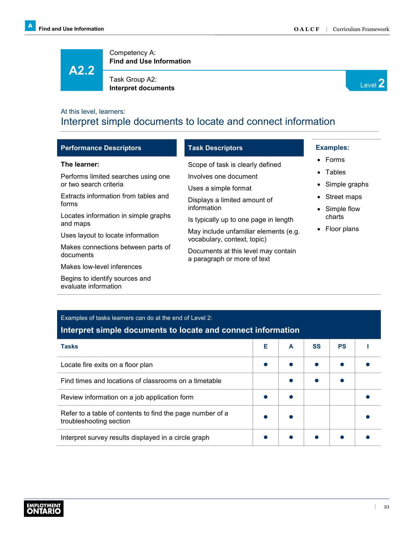**A2.2**

evaluate information

Competency A: **Find and Use Information** 

Task Group A2: **Interpret documents** Level **2**



### At this level, learners: Interpret simple documents to locate and connect information

| <b>Performance Descriptors</b>                   | <b>Task Descriptors</b>                                            | <b>Examples:</b>         |
|--------------------------------------------------|--------------------------------------------------------------------|--------------------------|
| The learner:                                     | Scope of task is clearly defined                                   | $\bullet$ Forms          |
| Performs limited searches using one              | Involves one document                                              | Tables<br>$\bullet$      |
| or two search criteria                           | Uses a simple format                                               | • Simple graphs          |
| Extracts information from tables and             | Displays a limited amount of                                       | • Street maps            |
| forms                                            | information                                                        | • Simple flow            |
| Locates information in simple graphs<br>and maps | Is typically up to one page in length                              | charts                   |
|                                                  | May include unfamiliar elements (e.g.                              | Floor plans<br>$\bullet$ |
| Uses layout to locate information                | vocabulary, context, topic)                                        |                          |
| Makes connections between parts of<br>documents  | Documents at this level may contain<br>a paragraph or more of text |                          |
| Makes low-level inferences                       |                                                                    |                          |
| Begins to identify sources and                   |                                                                    |                          |

| Examples of tasks learners can do at the end of Level 2:<br>Interpret simple documents to locate and connect information |   |   |           |           |  |
|--------------------------------------------------------------------------------------------------------------------------|---|---|-----------|-----------|--|
| <b>Tasks</b>                                                                                                             | Е | A | <b>SS</b> | <b>PS</b> |  |
| Locate fire exits on a floor plan                                                                                        |   |   |           |           |  |
| Find times and locations of classrooms on a timetable                                                                    |   |   |           |           |  |
| Review information on a job application form                                                                             |   |   |           |           |  |
| Refer to a table of contents to find the page number of a<br>troubleshooting section                                     |   |   |           |           |  |
| Interpret survey results displayed in a circle graph                                                                     |   |   |           |           |  |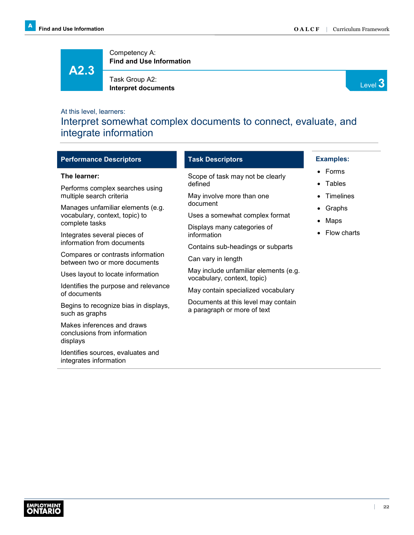# **A2.3**

Competency A: **Find and Use Information** 

Task Group A2: I ask Group Az:<br> **Interpret documents Containers** 



#### At this level, learners:

Interpret somewhat complex documents to connect, evaluate, and integrate information

| <b>Performance Descriptors</b>                                            | <b>Task Descriptors</b>                                                   | <b>Examples:</b>                          |
|---------------------------------------------------------------------------|---------------------------------------------------------------------------|-------------------------------------------|
| The learner:<br>Performs complex searches using                           | Scope of task may not be clearly<br>defined                               | Forms<br>$\bullet$<br>Tables<br>$\bullet$ |
| multiple search criteria<br>Manages unfamiliar elements (e.g.             | May involve more than one<br>document                                     | <b>Timelines</b><br>Graphs                |
| vocabulary, context, topic) to<br>complete tasks                          | Uses a somewhat complex format<br>Displays many categories of             | Maps<br>$\bullet$                         |
| Integrates several pieces of<br>information from documents                | information<br>Contains sub-headings or subparts                          | Flow charts                               |
| Compares or contrasts information<br>between two or more documents        | Can vary in length                                                        |                                           |
| Uses layout to locate information<br>Identifies the purpose and relevance | May include unfamiliar elements (e.g.<br>vocabulary, context, topic)      |                                           |
| of documents                                                              | May contain specialized vocabulary<br>Documents at this level may contain |                                           |
| Begins to recognize bias in displays,<br>such as graphs                   | a paragraph or more of text                                               |                                           |
| Makes inferences and draws<br>conclusions from information<br>displays    |                                                                           |                                           |
| Identifies sources, evaluates and<br>integrates information               |                                                                           |                                           |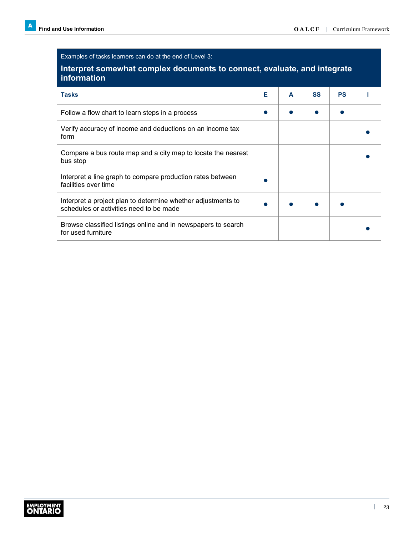| Examples of tasks learners can do at the end of Level 3:                                                |   |   |           |           |  |
|---------------------------------------------------------------------------------------------------------|---|---|-----------|-----------|--|
| Interpret somewhat complex documents to connect, evaluate, and integrate<br><b>information</b>          |   |   |           |           |  |
| <b>Tasks</b>                                                                                            | Е | A | <b>SS</b> | <b>PS</b> |  |
| Follow a flow chart to learn steps in a process                                                         |   |   |           |           |  |
| Verify accuracy of income and deductions on an income tax<br>form                                       |   |   |           |           |  |
| Compare a bus route map and a city map to locate the nearest<br>bus stop                                |   |   |           |           |  |
| Interpret a line graph to compare production rates between<br>facilities over time                      |   |   |           |           |  |
| Interpret a project plan to determine whether adjustments to<br>schedules or activities need to be made |   |   |           |           |  |
| Browse classified listings online and in newspapers to search<br>for used furniture                     |   |   |           |           |  |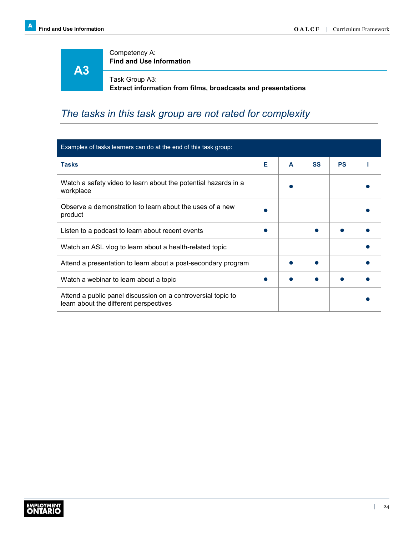#### Competency A: **Find and Use Information A3** Task Group A3: **Extract information from films, broadcasts and presentations**

# *The tasks in this task group are not rated for complexity*

| Examples of tasks learners can do at the end of this task group:                                       |   |   |           |           |  |
|--------------------------------------------------------------------------------------------------------|---|---|-----------|-----------|--|
| <b>Tasks</b>                                                                                           | Е | A | <b>SS</b> | <b>PS</b> |  |
| Watch a safety video to learn about the potential hazards in a<br>workplace                            |   |   |           |           |  |
| Observe a demonstration to learn about the uses of a new<br>product                                    |   |   |           |           |  |
| Listen to a podcast to learn about recent events                                                       |   |   |           |           |  |
| Watch an ASL vlog to learn about a health-related topic                                                |   |   |           |           |  |
| Attend a presentation to learn about a post-secondary program                                          |   |   |           |           |  |
| Watch a webinar to learn about a topic                                                                 |   |   |           |           |  |
| Attend a public panel discussion on a controversial topic to<br>learn about the different perspectives |   |   |           |           |  |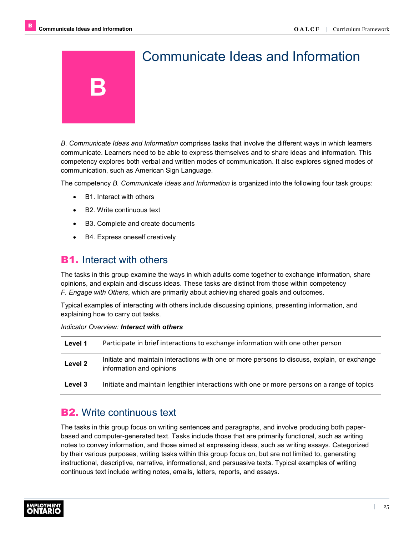# <span id="page-28-0"></span>**B** Communicate Ideas and Information

*B. Communicate Ideas and Information* comprises tasks that involve the different ways in which learners communicate. Learners need to be able to express themselves and to share ideas and information. This competency explores both verbal and written modes of communication. It also explores signed modes of communication, such as American Sign Language.

The competency *B. Communicate Ideas and Information* is organized into the following four task groups:

- B1. Interact with others
- B2. Write continuous text
- B3. Complete and create documents
- B4. Express oneself creatively

### <span id="page-28-1"></span>**B1.** Interact with others

The tasks in this group examine the ways in which adults come together to exchange information, share opinions, and explain and discuss ideas. These tasks are distinct from those within competency *F. Engage with Others*, which are primarily about achieving shared goals and outcomes.

Typical examples of interacting with others include discussing opinions, presenting information, and explaining how to carry out tasks.

#### *Indicator Overview: Interact with others*

| Level 1 | Participate in brief interactions to exchange information with one other person                                          |
|---------|--------------------------------------------------------------------------------------------------------------------------|
| Level 2 | Initiate and maintain interactions with one or more persons to discuss, explain, or exchange<br>information and opinions |
| Level 3 | Initiate and maintain lengthier interactions with one or more persons on a range of topics                               |

# <span id="page-28-2"></span>**B2.** Write continuous text

The tasks in this group focus on writing sentences and paragraphs, and involve producing both paperbased and computer-generated text. Tasks include those that are primarily functional, such as writing notes to convey information, and those aimed at expressing ideas, such as writing essays. Categorized by their various purposes, writing tasks within this group focus on, but are not limited to, generating instructional, descriptive, narrative, informational, and persuasive texts. Typical examples of writing continuous text include writing notes, emails, letters, reports, and essays.

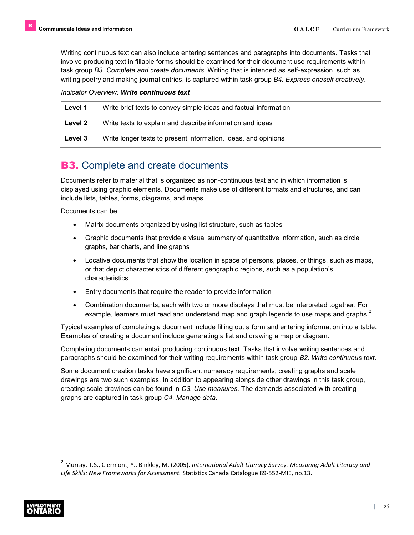Writing continuous text can also include entering sentences and paragraphs into documents. Tasks that involve producing text in fillable forms should be examined for their document use requirements within task group *B3. Complete and create documents.* Writing that is intended as self-expression, such as writing poetry and making journal entries, is captured within task group *B4. Express oneself creatively*.

#### *Indicator Overview: Write continuous text*

| Level 1 | Write brief texts to convey simple ideas and factual information |
|---------|------------------------------------------------------------------|
| Level 2 | Write texts to explain and describe information and ideas        |
| Level 3 | Write longer texts to present information, ideas, and opinions   |

### <span id="page-29-0"></span>**B3.** Complete and create documents

Documents refer to material that is organized as non-continuous text and in which information is displayed using graphic elements. Documents make use of different formats and structures, and can include lists, tables, forms, diagrams, and maps.

Documents can be

- Matrix documents organized by using list structure, such as tables
- Graphic documents that provide a visual summary of quantitative information, such as circle graphs, bar charts, and line graphs
- Locative documents that show the location in space of persons, places, or things, such as maps, or that depict characteristics of different geographic regions, such as a population's characteristics
- Entry documents that require the reader to provide information
- Combination documents, each with two or more displays that must be interpreted together. For example, learners must read and understand map and graph legends to use maps and graphs.<sup>2</sup>

Typical examples of completing a document include filling out a form and entering information into a table. Examples of creating a document include generating a list and drawing a map or diagram.

Completing documents can entail producing continuous text. Tasks that involve writing sentences and paragraphs should be examined for their writing requirements within task group *B2. Write continuous text*.

Some document creation tasks have significant numeracy requirements; creating graphs and scale drawings are two such examples. In addition to appearing alongside other drawings in this task group, creating scale drawings can be found in *C3. Use measures.* The demands associated with creating graphs are captured in task group *C4. Manage data*.

<sup>2</sup> Murray, T.S., Clermont, Y., Binkley, M. (2005). *International Adult Literacy Survey. Measuring Adult Literacy and Life Skills: New Frameworks for Assessment.* Statistics Canada Catalogue 89-552-MIE, no.13.

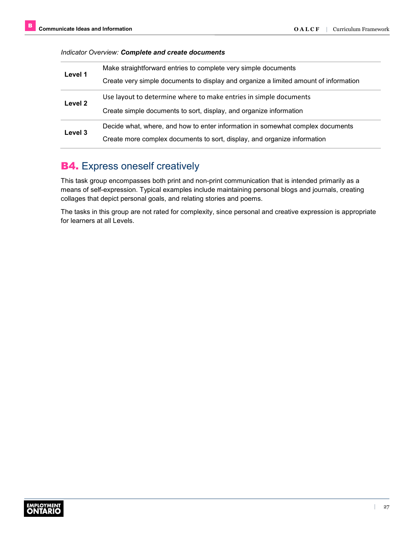#### *Indicator Overview: Complete and create documents*

| Level 1 | Make straightforward entries to complete very simple documents                       |
|---------|--------------------------------------------------------------------------------------|
|         | Create very simple documents to display and organize a limited amount of information |
| Level 2 | Use layout to determine where to make entries in simple documents                    |
|         | Create simple documents to sort, display, and organize information                   |
|         | Decide what, where, and how to enter information in somewhat complex documents       |
| Level 3 | Create more complex documents to sort, display, and organize information             |

# <span id="page-30-0"></span>**B4.** Express oneself creatively

This task group encompasses both print and non-print communication that is intended primarily as a means of self-expression. Typical examples include maintaining personal blogs and journals, creating collages that depict personal goals, and relating stories and poems.

The tasks in this group are not rated for complexity, since personal and creative expression is appropriate for learners at all Levels.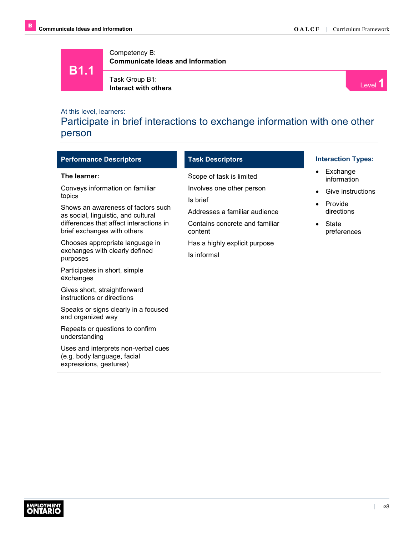**B1.1**

Competency B: **Communicate Ideas and Information** 

Task Group B1: **I** ask Group B1:<br>**Interact with others Level 1** 

#### At this level, learners:

Participate in brief interactions to exchange information with one other person

| <b>Performance Descriptors</b>                                                                                                                      | <b>Task Descriptors</b>                                                    | <b>Interaction Types:</b>                              |
|-----------------------------------------------------------------------------------------------------------------------------------------------------|----------------------------------------------------------------------------|--------------------------------------------------------|
| The learner:                                                                                                                                        | Scope of task is limited                                                   | Exchange<br>٠<br>information                           |
| Conveys information on familiar<br>topics                                                                                                           | Involves one other person<br>Is brief                                      | Give instructions<br>$\bullet$<br>Provide<br>$\bullet$ |
| Shows an awareness of factors such<br>as social, linguistic, and cultural<br>differences that affect interactions in<br>brief exchanges with others | Addresses a familiar audience<br>Contains concrete and familiar<br>content | directions<br>State<br>$\bullet$<br>preferences        |
| Chooses appropriate language in<br>exchanges with clearly defined<br>purposes                                                                       | Has a highly explicit purpose<br>Is informal                               |                                                        |
| Participates in short, simple<br>exchanges                                                                                                          |                                                                            |                                                        |
| Gives short, straightforward<br>instructions or directions                                                                                          |                                                                            |                                                        |
| Speaks or signs clearly in a focused<br>and organized way                                                                                           |                                                                            |                                                        |
| Repeats or questions to confirm<br>understanding                                                                                                    |                                                                            |                                                        |
| Uses and interprets non-verbal cues<br>(e.g. body language, facial<br>expressions, gestures)                                                        |                                                                            |                                                        |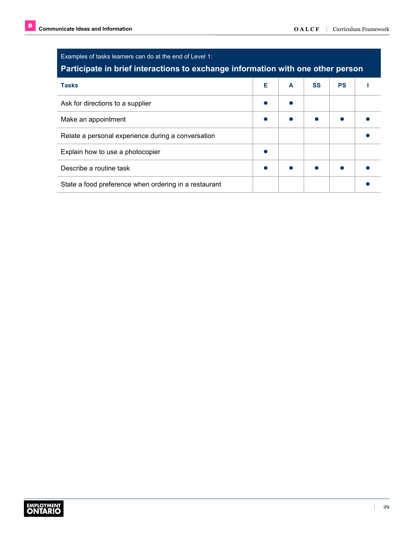| Examples of tasks learners can do at the end of Level 1:<br>Participate in brief interactions to exchange information with one other person |   |   |           |           |  |
|---------------------------------------------------------------------------------------------------------------------------------------------|---|---|-----------|-----------|--|
| <b>Tasks</b>                                                                                                                                | Е | A | <b>SS</b> | <b>PS</b> |  |
| Ask for directions to a supplier                                                                                                            |   |   |           |           |  |
| Make an appointment                                                                                                                         |   |   |           |           |  |
| Relate a personal experience during a conversation                                                                                          |   |   |           |           |  |
| Explain how to use a photocopier                                                                                                            |   |   |           |           |  |
| Describe a routine task                                                                                                                     |   |   |           |           |  |
| State a food preference when ordering in a restaurant                                                                                       |   |   |           |           |  |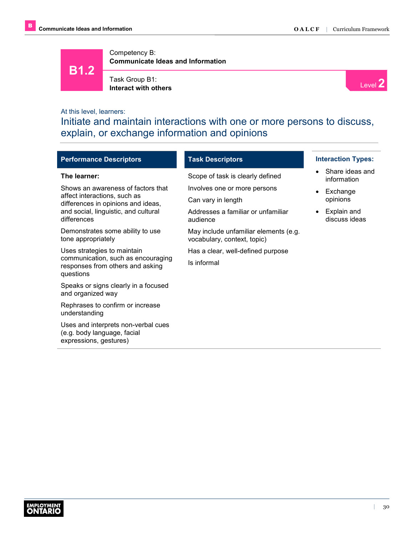

Competency B: **Communicate Ideas and Information** 

Task Group B1: **Interact with others and the contract with others in the contract with others and the contract with others and the contract with others and the contract with others and the contract with others and the contract with other** 



#### At this level, learners:

Initiate and maintain interactions with one or more persons to discuss, explain, or exchange information and opinions

| <b>Performance Descriptors</b>                                                                                                                                  | <b>Task Descriptors</b>                                              | <b>Interaction Types:</b>      |
|-----------------------------------------------------------------------------------------------------------------------------------------------------------------|----------------------------------------------------------------------|--------------------------------|
| The learner:                                                                                                                                                    | Scope of task is clearly defined                                     | Share ideas and<br>information |
| Shows an awareness of factors that<br>affect interactions, such as<br>differences in opinions and ideas,<br>and social, linguistic, and cultural<br>differences | Involves one or more persons                                         | Exchange                       |
|                                                                                                                                                                 | Can vary in length                                                   | opinions                       |
|                                                                                                                                                                 | Addresses a familiar or unfamiliar<br>audience                       | Explain and<br>discuss ideas   |
| Demonstrates some ability to use<br>tone appropriately                                                                                                          | May include unfamiliar elements (e.g.<br>vocabulary, context, topic) |                                |
| Uses strategies to maintain                                                                                                                                     | Has a clear, well-defined purpose                                    |                                |
| communication, such as encouraging<br>responses from others and asking<br>questions                                                                             | Is informal                                                          |                                |
| Speaks or signs clearly in a focused<br>and organized way                                                                                                       |                                                                      |                                |
| Rephrases to confirm or increase<br>understanding                                                                                                               |                                                                      |                                |
| Uses and interprets non-verbal cues<br>(e.g. body language, facial<br>expressions, gestures)                                                                    |                                                                      |                                |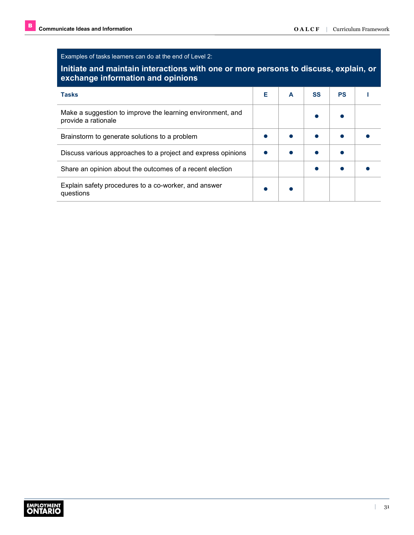Examples of tasks learners can do at the end of Level 2:

### **Initiate and maintain interactions with one or more persons to discuss, explain, or exchange information and opinions**

| <u>ovonango mnomnation ana opimono</u>                                            |   |   |           |           |  |
|-----------------------------------------------------------------------------------|---|---|-----------|-----------|--|
| <b>Tasks</b>                                                                      | Е | A | <b>SS</b> | <b>PS</b> |  |
| Make a suggestion to improve the learning environment, and<br>provide a rationale |   |   |           |           |  |
| Brainstorm to generate solutions to a problem                                     |   |   |           |           |  |
| Discuss various approaches to a project and express opinions                      |   |   |           |           |  |
| Share an opinion about the outcomes of a recent election                          |   |   |           |           |  |
| Explain safety procedures to a co-worker, and answer<br>questions                 |   |   |           |           |  |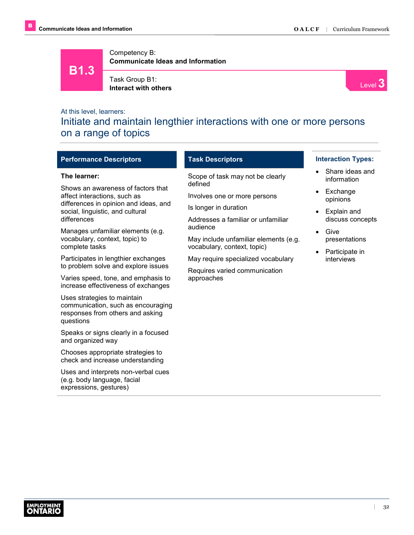**B1.3**

Competency B: **Communicate Ideas and Information** 

Task Group B1: **I** ask Group B1:<br>**Interact with others Contract with others** 



#### At this level, learners:

Initiate and maintain lengthier interactions with one or more persons on a range of topics

| <b>Performance Descriptors</b>                                                                                                                                 | <b>Task Descriptors</b>                                                                     | <b>Interaction Types:</b>                                                         |
|----------------------------------------------------------------------------------------------------------------------------------------------------------------|---------------------------------------------------------------------------------------------|-----------------------------------------------------------------------------------|
| The learner:                                                                                                                                                   | Scope of task may not be clearly<br>defined                                                 | Share ideas and<br>information                                                    |
| Shows an awareness of factors that<br>affect interactions, such as<br>differences in opinion and ideas, and<br>social, linguistic, and cultural<br>differences | Involves one or more persons<br>Is longer in duration<br>Addresses a familiar or unfamiliar | Exchange<br>$\bullet$<br>opinions<br>Explain and<br>$\bullet$<br>discuss concepts |
| Manages unfamiliar elements (e.g.<br>vocabulary, context, topic) to<br>complete tasks                                                                          | audience<br>May include unfamiliar elements (e.g.<br>vocabulary, context, topic)            | Give<br>$\bullet$<br>presentations                                                |
| Participates in lengthier exchanges<br>to problem solve and explore issues                                                                                     | May require specialized vocabulary<br>Requires varied communication                         | Participate in<br>$\bullet$<br>interviews                                         |
| Varies speed, tone, and emphasis to<br>increase effectiveness of exchanges<br>Uses strategies to maintain                                                      | approaches                                                                                  |                                                                                   |
| communication, such as encouraging<br>responses from others and asking<br>questions                                                                            |                                                                                             |                                                                                   |
| Speaks or signs clearly in a focused<br>and organized way<br>Chooses appropriate strategies to                                                                 |                                                                                             |                                                                                   |
| check and increase understanding<br>Uses and interprets non-verbal cues<br>(e.g. body language, facial                                                         |                                                                                             |                                                                                   |

expressions, gestures)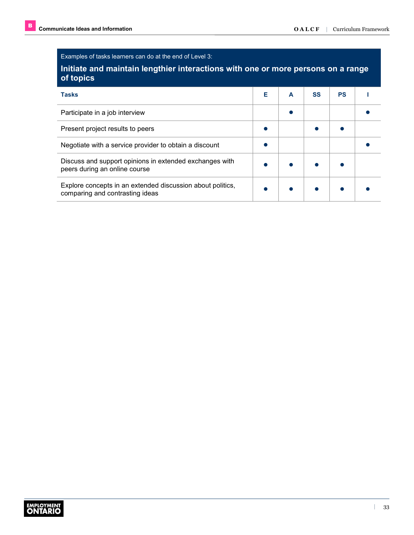Examples of tasks learners can do at the end of Level 3:

## **Initiate and maintain lengthier interactions with one or more persons on a range of topics**

| $\sim$ $\sim$ $\sim$ $\sim$                                                                   |   |   |    |           |  |
|-----------------------------------------------------------------------------------------------|---|---|----|-----------|--|
| <b>Tasks</b>                                                                                  | Е | A | SS | <b>PS</b> |  |
| Participate in a job interview                                                                |   |   |    |           |  |
| Present project results to peers                                                              |   |   |    |           |  |
| Negotiate with a service provider to obtain a discount                                        |   |   |    |           |  |
| Discuss and support opinions in extended exchanges with<br>peers during an online course      |   |   |    |           |  |
| Explore concepts in an extended discussion about politics,<br>comparing and contrasting ideas |   |   |    |           |  |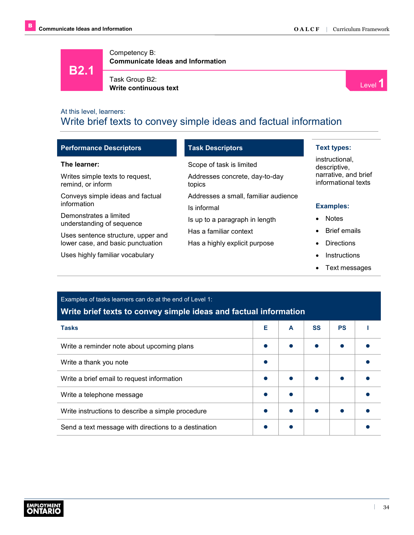**B2.1**

Competency B: **Communicate Ideas and Information** 



Task Group B2:

# **Write continuous text 1 ask Group B2:** Level **1**

# At this level, learners: Write brief texts to convey simple ideas and factual information

| <b>Performance Descriptors</b>                       | <b>Task Descriptors</b>                  | <b>Text types:</b>                          |
|------------------------------------------------------|------------------------------------------|---------------------------------------------|
| The learner:                                         | Scope of task is limited                 | instructional,<br>descriptive,              |
| Writes simple texts to request,<br>remind, or inform | Addresses concrete, day-to-day<br>topics | narrative, and brief<br>informational texts |
| Conveys simple ideas and factual                     | Addresses a small, familiar audience     |                                             |
| information<br>Is informal                           |                                          | <b>Examples:</b>                            |
| Demonstrates a limited<br>understanding of sequence  | Is up to a paragraph in length           | <b>Notes</b>                                |
| Uses sentence structure, upper and                   | Has a familiar context                   | <b>Brief emails</b>                         |
| lower case, and basic punctuation                    | Has a highly explicit purpose            | <b>Directions</b>                           |
| Uses highly familiar vocabulary                      |                                          | Instructions                                |
|                                                      |                                          | Text messages                               |

# Examples of tasks learners can do at the end of Level 1: **Write brief texts to convey simple ideas and factual information**

| <b>Tasks</b>                                         | Е | A | <b>SS</b> | <b>PS</b> |  |
|------------------------------------------------------|---|---|-----------|-----------|--|
| Write a reminder note about upcoming plans           |   |   |           |           |  |
| Write a thank you note                               |   |   |           |           |  |
| Write a brief email to request information           |   |   |           |           |  |
| Write a telephone message                            |   |   |           |           |  |
| Write instructions to describe a simple procedure    |   |   |           |           |  |
| Send a text message with directions to a destination |   |   |           |           |  |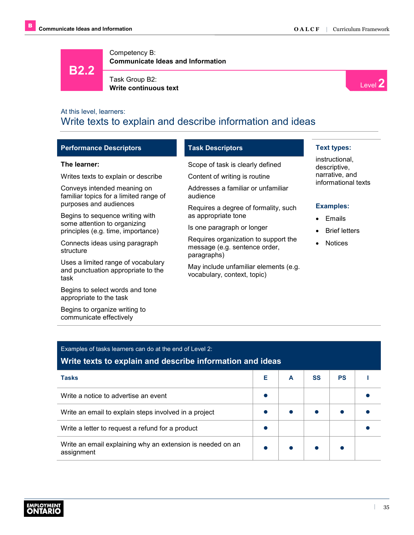**B2.2**

Competency B: **Communicate Ideas and Information** 

Task Group B2:



# At this level, learners: Write texts to explain and describe information and ideas

| <b>Performance Descriptors</b>                                                   | <b>Task Descriptors</b>                                                              | <b>Text types:</b>                    |
|----------------------------------------------------------------------------------|--------------------------------------------------------------------------------------|---------------------------------------|
| The learner:                                                                     | Scope of task is clearly defined                                                     | instructional,<br>descriptive,        |
| Writes texts to explain or describe                                              | Content of writing is routine                                                        | narrative, and<br>informational texts |
| Conveys intended meaning on<br>familiar topics for a limited range of            | Addresses a familiar or unfamiliar<br>audience                                       |                                       |
| purposes and audiences                                                           | Requires a degree of formality, such                                                 | <b>Examples:</b>                      |
| Begins to sequence writing with<br>some attention to organizing                  | as appropriate tone                                                                  |                                       |
| Is one paragraph or longer<br>principles (e.g. time, importance)                 |                                                                                      | <b>Brief letters</b>                  |
| Connects ideas using paragraph<br>structure                                      | Requires organization to support the<br>message (e.g. sentence order,<br>paragraphs) | <b>Notices</b>                        |
| Uses a limited range of vocabulary<br>and punctuation appropriate to the<br>task | May include unfamiliar elements (e.g.<br>vocabulary, context, topic)                 |                                       |
| Begins to select words and tone<br>appropriate to the task                       |                                                                                      |                                       |
| Begins to organize writing to<br>communicate effectively                         |                                                                                      |                                       |

| Examples of tasks learners can do at the end of Level 2:<br>Write texts to explain and describe information and ideas |   |   |           |           |  |
|-----------------------------------------------------------------------------------------------------------------------|---|---|-----------|-----------|--|
| <b>Tasks</b>                                                                                                          | Е | A | <b>SS</b> | <b>PS</b> |  |
| Write a notice to advertise an event                                                                                  |   |   |           |           |  |
| Write an email to explain steps involved in a project                                                                 |   |   |           |           |  |
| Write a letter to request a refund for a product                                                                      |   |   |           |           |  |
| Write an email explaining why an extension is needed on an<br>assignment                                              |   |   |           |           |  |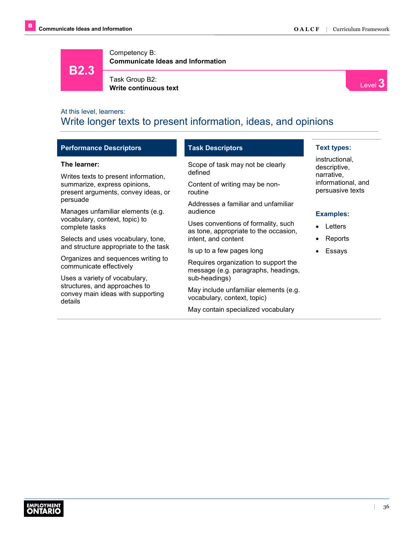**B2.3**

Competency B: **Communicate Ideas and Information** 



## Task Group B2: **Write continuous text** Level **3**

## At this level, learners: Write longer texts to present information, ideas, and opinions

| <b>Performance Descriptors</b>                                                                                                                                                                 | <b>Task Descriptors</b>                                              | <b>Text types:</b>                                   |
|------------------------------------------------------------------------------------------------------------------------------------------------------------------------------------------------|----------------------------------------------------------------------|------------------------------------------------------|
| The learner:                                                                                                                                                                                   | Scope of task may not be clearly<br>defined                          | instructional,<br>descriptive,                       |
| Writes texts to present information,<br>summarize, express opinions,<br>present arguments, convey ideas, or                                                                                    | Content of writing may be non-<br>routine                            | narrative,<br>informational, and<br>persuasive texts |
| persuade<br>Manages unfamiliar elements (e.g.                                                                                                                                                  | Addresses a familiar and unfamiliar<br>audience                      | <b>Examples:</b>                                     |
| vocabulary, context, topic) to<br>Uses conventions of formality, such<br>complete tasks<br>as tone, appropriate to the occasion,                                                               |                                                                      | Letters                                              |
| Selects and uses vocabulary, tone,<br>and structure appropriate to the task                                                                                                                    | intent, and content                                                  | Reports                                              |
|                                                                                                                                                                                                | Is up to a few pages long                                            | Essays                                               |
| Organizes and sequences writing to<br>Requires organization to support the<br>communicate effectively<br>message (e.g. paragraphs, headings,<br>sub-headings)<br>Uses a variety of vocabulary, |                                                                      |                                                      |
|                                                                                                                                                                                                |                                                                      |                                                      |
| structures, and approaches to<br>convey main ideas with supporting<br>details                                                                                                                  | May include unfamiliar elements (e.g.<br>vocabulary, context, topic) |                                                      |

May contain specialized vocabulary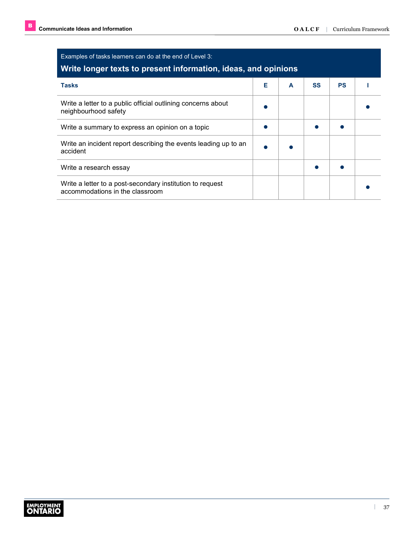| Examples of tasks learners can do at the end of Level 3:<br>Write longer texts to present information, ideas, and opinions |   |   |           |           |  |  |
|----------------------------------------------------------------------------------------------------------------------------|---|---|-----------|-----------|--|--|
| <b>Tasks</b>                                                                                                               | Е | A | <b>SS</b> | <b>PS</b> |  |  |
| Write a letter to a public official outlining concerns about<br>neighbourhood safety                                       |   |   |           |           |  |  |
| Write a summary to express an opinion on a topic                                                                           |   |   |           |           |  |  |
| Write an incident report describing the events leading up to an<br>accident                                                |   |   |           |           |  |  |
| Write a research essay                                                                                                     |   |   |           |           |  |  |
| Write a letter to a post-secondary institution to request<br>accommodations in the classroom                               |   |   |           |           |  |  |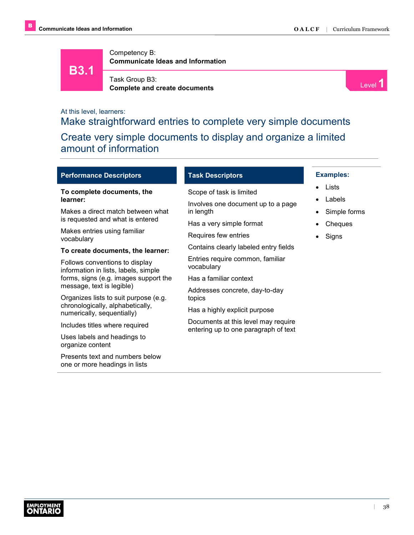

Competency B: **Communicate Ideas and Information** 



Task Group B3: **Complete and create documents Complete and create documents** 



# At this level, learners: Make straightforward entries to complete very simple documents Create very simple documents to display and organize a limited amount of information

| <b>Performance Descriptors</b> |  |  |
|--------------------------------|--|--|
|                                |  |  |

#### **To complete documents, the learner:**

Makes a direct match between what is requested and what is entered

Makes entries using familiar vocabulary

#### **To create documents, the learner:**

Follows conventions to display information in lists, labels, simple forms, signs (e.g. images support the message, text is legible)

Organizes lists to suit purpose (e.g. chronologically, alphabetically, numerically, sequentially)

Includes titles where required

Uses labels and headings to organize content

Presents text and numbers below one or more headings in lists

## **Task Descriptors**

Scope of task is limited

Involves one document up to a page in length

Has a very simple format

Requires few entries

Contains clearly labeled entry fields

Entries require common, familiar vocabulary

Has a familiar context

Addresses concrete, day-to-day topics

Has a highly explicit purpose

Documents at this level may require entering up to one paragraph of text

## **Examples:**

- Lists
- Labels
- Simple forms
- **Cheques**
- Signs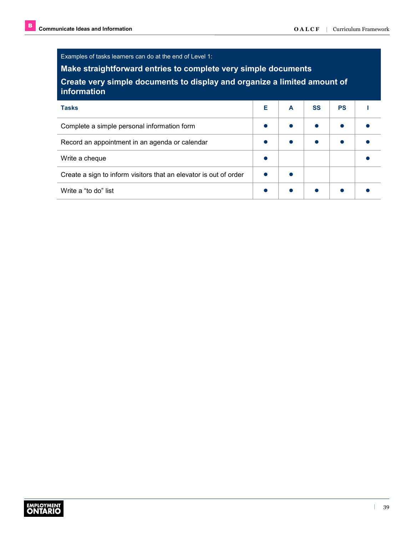Examples of tasks learners can do at the end of Level 1:

**Make straightforward entries to complete very simple documents** 

**Create very simple documents to display and organize a limited amount of information**

| <b>Tasks</b>                                                      | Е | A | <b>SS</b> | <b>PS</b> |  |
|-------------------------------------------------------------------|---|---|-----------|-----------|--|
| Complete a simple personal information form                       |   |   |           |           |  |
| Record an appointment in an agenda or calendar                    |   |   |           |           |  |
| Write a cheque                                                    |   |   |           |           |  |
| Create a sign to inform visitors that an elevator is out of order |   |   |           |           |  |
| Write a "to do" list                                              |   |   |           |           |  |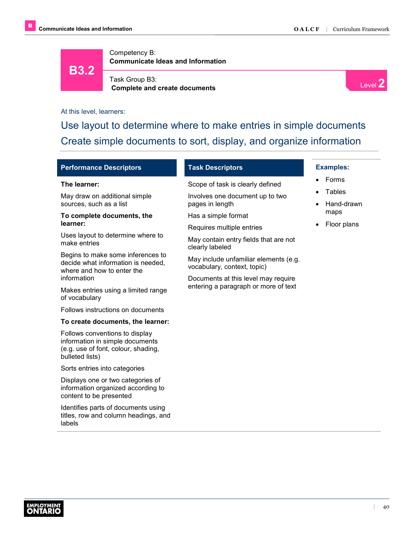

Competency B: **Communicate Ideas and Information** 

Task Group B3: **Complete and create documents Complete and create documents** 



At this level, learners:

Use layout to determine where to make entries in simple documents Create simple documents to sort, display, and organize information

#### **Performance Descriptors**

#### **The learner:**

May draw on additional simple sources, such as a list

#### **To complete documents, the learner:**

Uses layout to determine where to make entries

Begins to make some inferences to decide what information is needed, where and how to enter the information

Makes entries using a limited range of vocabulary

Follows instructions on documents

## **To create documents, the learner:**

Follows conventions to display information in simple documents (e.g. use of font, colour, shading, bulleted lists)

Sorts entries into categories

Displays one or two categories of information organized according to content to be presented

Identifies parts of documents using titles, row and column headings, and labels

#### **Task Descriptors**

Scope of task is clearly defined

Involves one document up to two pages in length

Has a simple format

Requires multiple entries

May contain entry fields that are not clearly labeled

May include unfamiliar elements (e.g. vocabulary, context, topic)

Documents at this level may require entering a paragraph or more of text

#### **Examples:**

- Forms
- Tables
- Hand-drawn maps
- Floor plans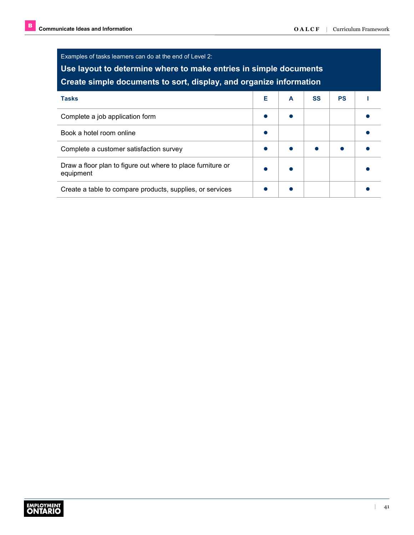| Examples of tasks learners can do at the end of Level 2:<br>Use layout to determine where to make entries in simple documents<br>Create simple documents to sort, display, and organize information |   |   |           |           |  |  |
|-----------------------------------------------------------------------------------------------------------------------------------------------------------------------------------------------------|---|---|-----------|-----------|--|--|
| <b>Tasks</b>                                                                                                                                                                                        | Е | A | <b>SS</b> | <b>PS</b> |  |  |
| Complete a job application form                                                                                                                                                                     |   |   |           |           |  |  |
| Book a hotel room online                                                                                                                                                                            |   |   |           |           |  |  |
| Complete a customer satisfaction survey                                                                                                                                                             |   |   |           |           |  |  |
| Draw a floor plan to figure out where to place furniture or<br>equipment                                                                                                                            |   |   |           |           |  |  |
| Create a table to compare products, supplies, or services                                                                                                                                           |   |   |           |           |  |  |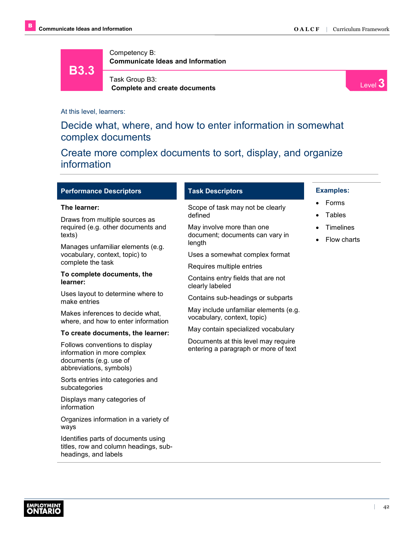

Competency B: **Communicate Ideas and Information** 



Task Group B3:

**Complete and create documents Complete and create documents** 

At this level, learners:

# Decide what, where, and how to enter information in somewhat complex documents

# Create more complex documents to sort, display, and organize information

## **Performance Descriptors**

#### **The learner:**

Draws from multiple sources as required (e.g. other documents and texts)

Manages unfamiliar elements (e.g. vocabulary, context, topic) to complete the task

#### **To complete documents, the learner:**

Uses layout to determine where to make entries

Makes inferences to decide what, where, and how to enter information

#### **To create documents, the learner:**

Follows conventions to display information in more complex documents (e.g. use of abbreviations, symbols)

Sorts entries into categories and subcategories

Displays many categories of information

Organizes information in a variety of ways

Identifies parts of documents using titles, row and column headings, subheadings, and labels

## **Task Descriptors**

Scope of task may not be clearly defined

May involve more than one document; documents can vary in length

Uses a somewhat complex format

Requires multiple entries

Contains entry fields that are not clearly labeled

Contains sub-headings or subparts

May include unfamiliar elements (e.g. vocabulary, context, topic)

May contain specialized vocabulary

Documents at this level may require entering a paragraph or more of text

#### **Examples:**

- Forms
- Tables
- **Timelines**
- Flow charts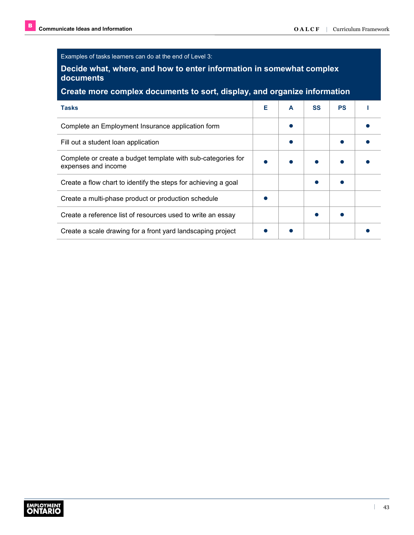Examples of tasks learners can do at the end of Level 3:

## **Decide what, where, and how to enter information in somewhat complex documents**

## **Create more complex documents to sort, display, and organize information**

| <b>Tasks</b>                                                                        | Е | A | <b>SS</b> | <b>PS</b> |  |
|-------------------------------------------------------------------------------------|---|---|-----------|-----------|--|
| Complete an Employment Insurance application form                                   |   |   |           |           |  |
| Fill out a student loan application                                                 |   |   |           |           |  |
| Complete or create a budget template with sub-categories for<br>expenses and income |   |   |           |           |  |
| Create a flow chart to identify the steps for achieving a goal                      |   |   |           |           |  |
| Create a multi-phase product or production schedule                                 |   |   |           |           |  |
| Create a reference list of resources used to write an essay                         |   |   |           |           |  |
| Create a scale drawing for a front yard landscaping project                         |   |   |           |           |  |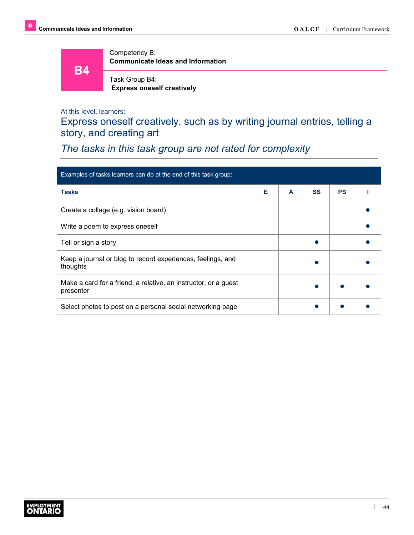**B4**

Competency B: **Communicate Ideas and Information** 

Task Group B4: **Express oneself creatively** 

At this level, learners:

Express oneself creatively, such as by writing journal entries, telling a story, and creating art

*The tasks in this task group are not rated for complexity* 

| Examples of tasks learners can do at the end of this task group:             |   |   |           |           |  |
|------------------------------------------------------------------------------|---|---|-----------|-----------|--|
| <b>Tasks</b>                                                                 | Е | A | <b>SS</b> | <b>PS</b> |  |
| Create a collage (e.g. vision board)                                         |   |   |           |           |  |
| Write a poem to express oneself                                              |   |   |           |           |  |
| Tell or sign a story                                                         |   |   |           |           |  |
| Keep a journal or blog to record experiences, feelings, and<br>thoughts      |   |   |           |           |  |
| Make a card for a friend, a relative, an instructor, or a guest<br>presenter |   |   |           |           |  |
| Select photos to post on a personal social networking page                   |   |   |           |           |  |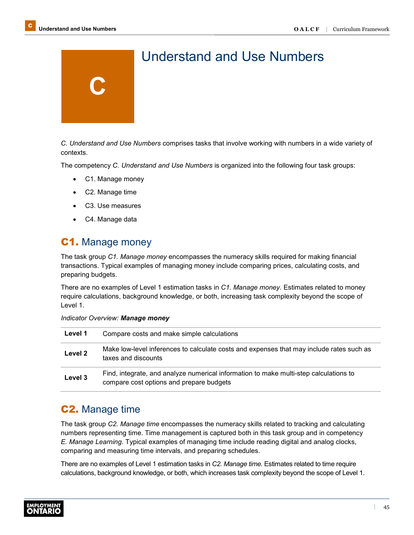

# Understand and Use Numbers

*C. Understand and Use Numbers* comprises tasks that involve working with numbers in a wide variety of contexts.

The competency *C. Understand and Use Numbers* is organized into the following four task groups:

- C1. Manage money
- C2. Manage time
- C3. Use measures
- C4. Manage data

# C1. Manage money

The task group *C1. Manage money* encompasses the numeracy skills required for making financial transactions. Typical examples of managing money include comparing prices, calculating costs, and preparing budgets.

There are no examples of Level 1 estimation tasks in *C1. Manage money.* Estimates related to money require calculations, background knowledge, or both, increasing task complexity beyond the scope of Level 1.

|  | Indicator Overview: Manage money |  |  |
|--|----------------------------------|--|--|
|--|----------------------------------|--|--|

| Level 1 | Compare costs and make simple calculations                                                                                        |
|---------|-----------------------------------------------------------------------------------------------------------------------------------|
| Level 2 | Make low-level inferences to calculate costs and expenses that may include rates such as<br>taxes and discounts                   |
| Level 3 | Find, integrate, and analyze numerical information to make multi-step calculations to<br>compare cost options and prepare budgets |

# C2. Manage time

The task group *C2. Manage time* encompasses the numeracy skills related to tracking and calculating numbers representing time. Time management is captured both in this task group and in competency *E. Manage Learning*. Typical examples of managing time include reading digital and analog clocks, comparing and measuring time intervals, and preparing schedules.

There are no examples of Level 1 estimation tasks in *C2. Manage time.* Estimates related to time require calculations, background knowledge, or both, which increases task complexity beyond the scope of Level 1.

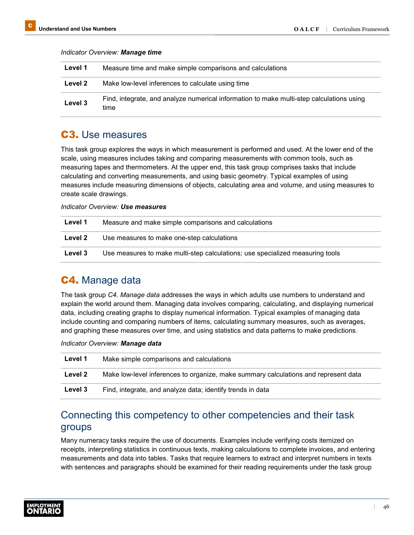| Level 1 | Measure time and make simple comparisons and calculations                                        |
|---------|--------------------------------------------------------------------------------------------------|
| Level 2 | Make low-level inferences to calculate using time                                                |
| Level 3 | Find, integrate, and analyze numerical information to make multi-step calculations using<br>time |

#### *Indicator Overview: Manage time*

# C3. Use measures

This task group explores the ways in which measurement is performed and used. At the lower end of the scale, using measures includes taking and comparing measurements with common tools, such as measuring tapes and thermometers. At the upper end, this task group comprises tasks that include calculating and converting measurements, and using basic geometry. Typical examples of using measures include measuring dimensions of objects, calculating area and volume, and using measures to create scale drawings.

#### *Indicator Overview: Use measures*

| Level 1 | Measure and make simple comparisons and calculations                          |
|---------|-------------------------------------------------------------------------------|
| Level 2 | Use measures to make one-step calculations                                    |
| Level 3 | Use measures to make multi-step calculations; use specialized measuring tools |

# C4. Manage data

The task group *C4. Manage data* addresses the ways in which adults use numbers to understand and explain the world around them. Managing data involves comparing, calculating, and displaying numerical data, including creating graphs to display numerical information. Typical examples of managing data include counting and comparing numbers of items, calculating summary measures, such as averages, and graphing these measures over time, and using statistics and data patterns to make predictions.

#### *Indicator Overview: Manage data*

| Level 1 | Make simple comparisons and calculations                                            |
|---------|-------------------------------------------------------------------------------------|
| Level 2 | Make low-level inferences to organize, make summary calculations and represent data |
| Level 3 | Find, integrate, and analyze data; identify trends in data                          |

# Connecting this competency to other competencies and their task groups

Many numeracy tasks require the use of documents. Examples include verifying costs itemized on receipts, interpreting statistics in continuous texts, making calculations to complete invoices, and entering measurements and data into tables. Tasks that require learners to extract and interpret numbers in texts with sentences and paragraphs should be examined for their reading requirements under the task group

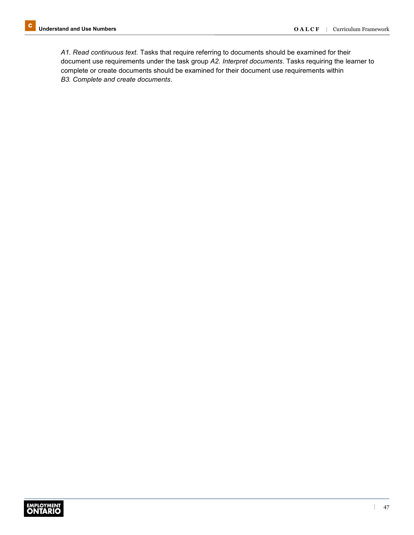*A1. Read continuous text*. Tasks that require referring to documents should be examined for their document use requirements under the task group *A2. Interpret documents*. Tasks requiring the learner to complete or create documents should be examined for their document use requirements within *B3. Complete and create documents*.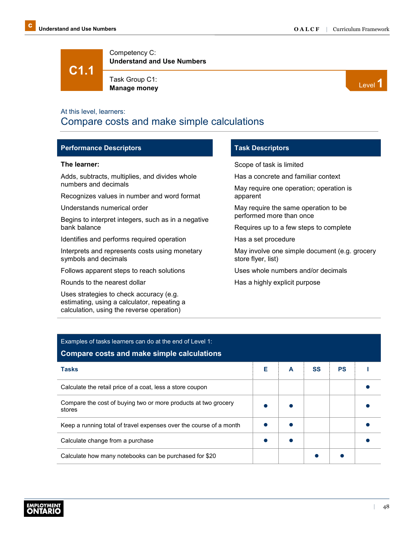**C1.1**

Competency C: **Understand and Use Numbers** 

Task Group C1: Task Group C1:<br>**Manage money Level <mark>1</mark>** 



# At this level, learners: Compare costs and make simple calculations

## **Performance Descriptors**

#### **The learner:**

Adds, subtracts, multiplies, and divides whole numbers and decimals

Recognizes values in number and word format

Understands numerical order

Begins to interpret integers, such as in a negative bank balance

Identifies and performs required operation

Interprets and represents costs using monetary symbols and decimals

Follows apparent steps to reach solutions

Rounds to the nearest dollar

Uses strategies to check accuracy (e.g. estimating, using a calculator, repeating a calculation, using the reverse operation)

## **Task Descriptors**

Scope of task is limited

Has a concrete and familiar context

May require one operation; operation is apparent

May require the same operation to be performed more than once

Requires up to a few steps to complete

Has a set procedure

May involve one simple document (e.g. grocery store flyer, list)

Uses whole numbers and/or decimals

Has a highly explicit purpose

| Examples of tasks learners can do at the end of Level 1:<br><b>Compare costs and make simple calculations</b> |   |   |           |           |  |
|---------------------------------------------------------------------------------------------------------------|---|---|-----------|-----------|--|
| <b>Tasks</b>                                                                                                  | Е | A | <b>SS</b> | <b>PS</b> |  |
| Calculate the retail price of a coat, less a store coupon                                                     |   |   |           |           |  |
| Compare the cost of buying two or more products at two grocery<br>stores                                      |   |   |           |           |  |
| Keep a running total of travel expenses over the course of a month                                            |   |   |           |           |  |
| Calculate change from a purchase                                                                              |   |   |           |           |  |
| Calculate how many notebooks can be purchased for \$20                                                        |   |   |           |           |  |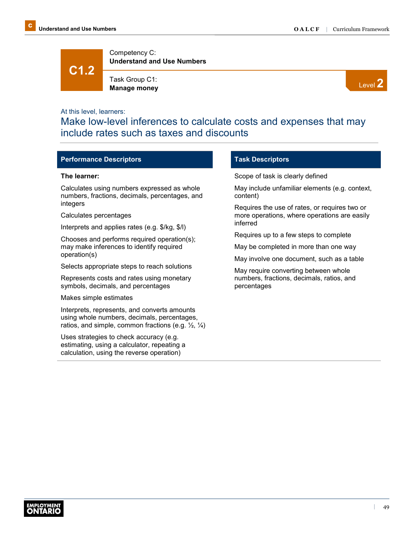**C1.2**

Competency C: **Understand and Use Numbers** 

Task Group C1: **Manage money** Level **2** 



#### At this level, learners:

Make low-level inferences to calculate costs and expenses that may include rates such as taxes and discounts

#### **Performance Descriptors**

#### **The learner:**

Calculates using numbers expressed as whole numbers, fractions, decimals, percentages, and integers

#### Calculates percentages

Interprets and applies rates (e.g. \$/kg, \$/l)

Chooses and performs required operation(s); may make inferences to identify required operation(s)

Selects appropriate steps to reach solutions

Represents costs and rates using monetary symbols, decimals, and percentages

Makes simple estimates

Interprets, represents, and converts amounts using whole numbers, decimals, percentages, ratios, and simple, common fractions (e.g.  $\frac{1}{2}$ ,  $\frac{1}{4}$ )

Uses strategies to check accuracy (e.g. estimating, using a calculator, repeating a calculation, using the reverse operation)

## **Task Descriptors**

Scope of task is clearly defined

May include unfamiliar elements (e.g. context, content)

Requires the use of rates, or requires two or more operations, where operations are easily inferred

Requires up to a few steps to complete

May be completed in more than one way

May involve one document, such as a table

May require converting between whole numbers, fractions, decimals, ratios, and percentages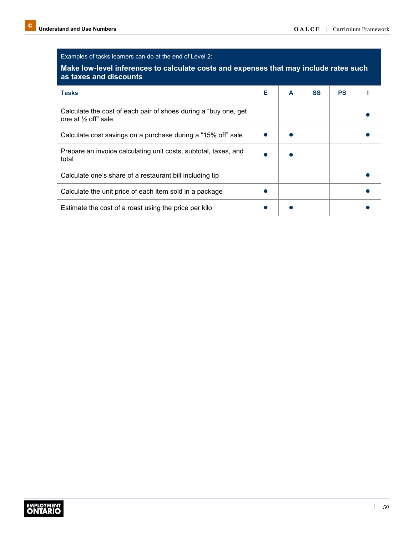## Examples of tasks learners can do at the end of Level 2:

## **Make low-level inferences to calculate costs and expenses that may include rates such as taxes and discounts**

| Е | A | <b>SS</b> | <b>PS</b> |  |
|---|---|-----------|-----------|--|
|   |   |           |           |  |
|   |   |           |           |  |
|   |   |           |           |  |
|   |   |           |           |  |
|   |   |           |           |  |
|   |   |           |           |  |
|   |   |           |           |  |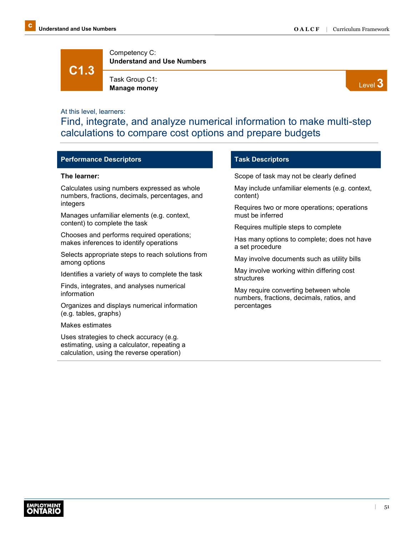**C1.3**

Competency C: **Understand and Use Numbers** 

Task Group C1: **Manage money** Level **3** 



## At this level, learners:

Find, integrate, and analyze numerical information to make multi-step calculations to compare cost options and prepare budgets

## **Performance Descriptors**

#### **The learner:**

Calculates using numbers expressed as whole numbers, fractions, decimals, percentages, and integers

Manages unfamiliar elements (e.g. context, content) to complete the task

Chooses and performs required operations; makes inferences to identify operations

Selects appropriate steps to reach solutions from among options

Identifies a variety of ways to complete the task

Finds, integrates, and analyses numerical information

Organizes and displays numerical information (e.g. tables, graphs)

Makes estimates

Uses strategies to check accuracy (e.g. estimating, using a calculator, repeating a calculation, using the reverse operation)

## **Task Descriptors**

Scope of task may not be clearly defined

May include unfamiliar elements (e.g. context, content)

Requires two or more operations; operations must be inferred

Requires multiple steps to complete

Has many options to complete; does not have a set procedure

May involve documents such as utility bills

May involve working within differing cost structures

May require converting between whole numbers, fractions, decimals, ratios, and percentages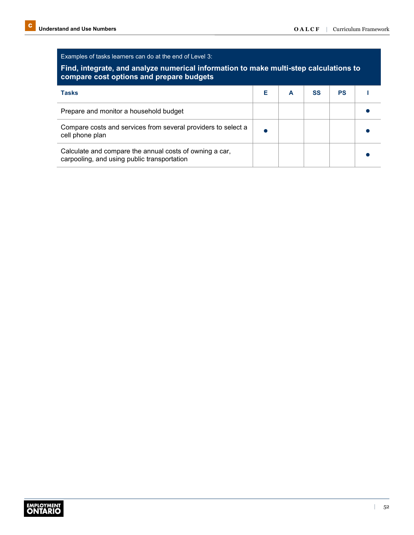## Examples of tasks learners can do at the end of Level 3:

## **Find, integrate, and analyze numerical information to make multi-step calculations to compare cost options and prepare budgets**

| <b>Tasks</b>                                                                                           |  | <b>SS</b> | <b>PS</b> |  |
|--------------------------------------------------------------------------------------------------------|--|-----------|-----------|--|
| Prepare and monitor a household budget                                                                 |  |           |           |  |
| Compare costs and services from several providers to select a<br>cell phone plan                       |  |           |           |  |
| Calculate and compare the annual costs of owning a car,<br>carpooling, and using public transportation |  |           |           |  |

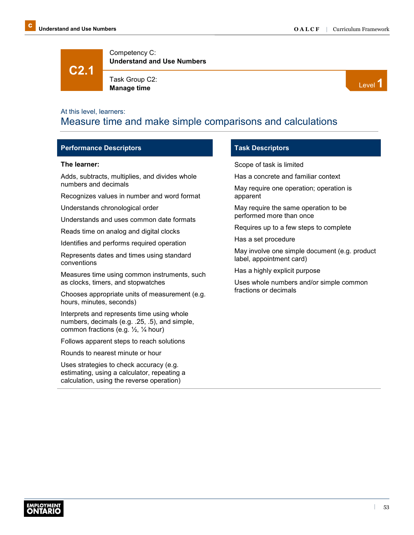**C2.1**

Competency C: **Understand and Use Numbers** 

Task Group C2: **Manage time** Level **1** 



## At this level, learners: Measure time and make simple comparisons and calculations

#### **Performance Descriptors**

#### **The learner:**

Adds, subtracts, multiplies, and divides whole numbers and decimals

Recognizes values in number and word format

Understands chronological order

Understands and uses common date formats

Reads time on analog and digital clocks

Identifies and performs required operation

Represents dates and times using standard conventions

Measures time using common instruments, such as clocks, timers, and stopwatches

Chooses appropriate units of measurement (e.g. hours, minutes, seconds)

Interprets and represents time using whole numbers, decimals (e.g. .25, .5), and simple, common fractions (e.g. ½, ¼ hour)

Follows apparent steps to reach solutions

Rounds to nearest minute or hour

Uses strategies to check accuracy (e.g. estimating, using a calculator, repeating a calculation, using the reverse operation)

#### **Task Descriptors**

Scope of task is limited

Has a concrete and familiar context

May require one operation; operation is apparent

May require the same operation to be performed more than once

Requires up to a few steps to complete

Has a set procedure

May involve one simple document (e.g. product label, appointment card)

Has a highly explicit purpose

Uses whole numbers and/or simple common fractions or decimals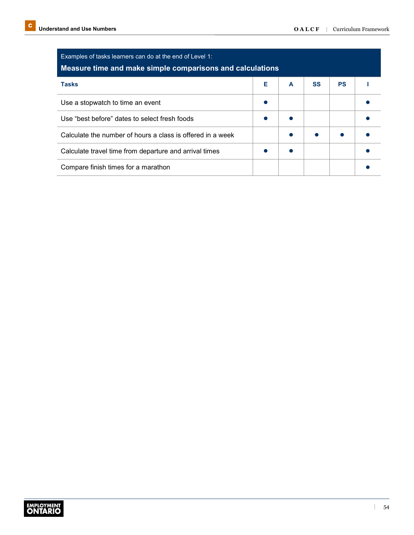| Examples of tasks learners can do at the end of Level 1:<br>Measure time and make simple comparisons and calculations |   |   |           |           |  |  |
|-----------------------------------------------------------------------------------------------------------------------|---|---|-----------|-----------|--|--|
| <b>Tasks</b>                                                                                                          | Е | A | <b>SS</b> | <b>PS</b> |  |  |
| Use a stopwatch to time an event                                                                                      |   |   |           |           |  |  |
| Use "best before" dates to select fresh foods                                                                         |   |   |           |           |  |  |
| Calculate the number of hours a class is offered in a week                                                            |   |   |           |           |  |  |
| Calculate travel time from departure and arrival times                                                                |   |   |           |           |  |  |
| Compare finish times for a marathon                                                                                   |   |   |           |           |  |  |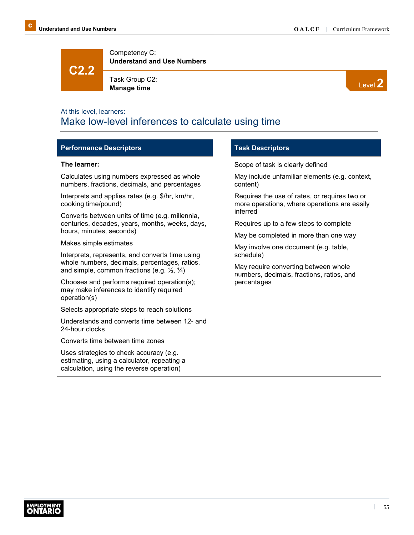**C2.2**

Competency C: **Understand and Use Numbers** 

Task Group C2: **Manage time** Level **2** 



# At this level, learners: Make low-level inferences to calculate using time

## **Performance Descriptors**

#### **The learner:**

Calculates using numbers expressed as whole numbers, fractions, decimals, and percentages

Interprets and applies rates (e.g. \$/hr, km/hr, cooking time/pound)

Converts between units of time (e.g. millennia, centuries, decades, years, months, weeks, days, hours, minutes, seconds)

Makes simple estimates

Interprets, represents, and converts time using whole numbers, decimals, percentages, ratios, and simple, common fractions (e.g.  $\frac{1}{2}$ ,  $\frac{1}{4}$ )

Chooses and performs required operation(s); may make inferences to identify required operation(s)

Selects appropriate steps to reach solutions

Understands and converts time between 12- and 24-hour clocks

Converts time between time zones

Uses strategies to check accuracy (e.g. estimating, using a calculator, repeating a calculation, using the reverse operation)

## **Task Descriptors**

Scope of task is clearly defined

May include unfamiliar elements (e.g. context, content)

Requires the use of rates, or requires two or more operations, where operations are easily inferred

Requires up to a few steps to complete

May be completed in more than one way

May involve one document (e.g. table, schedule)

May require converting between whole numbers, decimals, fractions, ratios, and percentages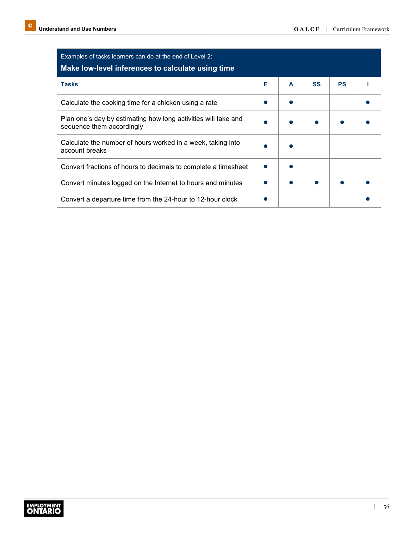| Examples of tasks learners can do at the end of Level 2:<br>Make low-level inferences to calculate using time |   |   |           |           |  |
|---------------------------------------------------------------------------------------------------------------|---|---|-----------|-----------|--|
| <b>Tasks</b>                                                                                                  | Е | A | <b>SS</b> | <b>PS</b> |  |
| Calculate the cooking time for a chicken using a rate                                                         |   |   |           |           |  |
| Plan one's day by estimating how long activities will take and<br>sequence them accordingly                   |   |   |           |           |  |
| Calculate the number of hours worked in a week, taking into<br>account breaks                                 |   |   |           |           |  |
| Convert fractions of hours to decimals to complete a timesheet                                                |   |   |           |           |  |
| Convert minutes logged on the Internet to hours and minutes                                                   |   |   |           |           |  |
| Convert a departure time from the 24-hour to 12-hour clock                                                    |   |   |           |           |  |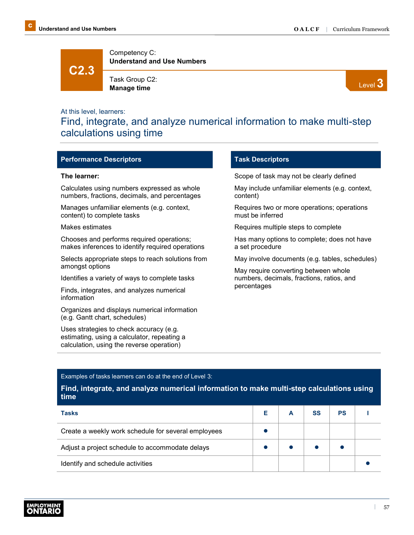**C2.3**

Competency C: **Understand and Use Numbers** 

Task Group C2: Task Group U2:<br>**Manage time** Level **3** 



## At this level, learners:

Find, integrate, and analyze numerical information to make multi-step calculations using time

## **Performance Descriptors**

#### **The learner:**

Calculates using numbers expressed as whole numbers, fractions, decimals, and percentages

Manages unfamiliar elements (e.g. context, content) to complete tasks

Makes estimates

Chooses and performs required operations; makes inferences to identify required operations

Selects appropriate steps to reach solutions from amongst options

Identifies a variety of ways to complete tasks

Finds, integrates, and analyzes numerical information

Organizes and displays numerical information (e.g. Gantt chart, schedules)

Uses strategies to check accuracy (e.g. estimating, using a calculator, repeating a calculation, using the reverse operation)

## **Task Descriptors**

Scope of task may not be clearly defined

May include unfamiliar elements (e.g. context, content)

Requires two or more operations; operations must be inferred

Requires multiple steps to complete

Has many options to complete; does not have a set procedure

May involve documents (e.g. tables, schedules)

May require converting between whole numbers, decimals, fractions, ratios, and percentages

#### Examples of tasks learners can do at the end of Level 3:

**Find, integrate, and analyze numerical information to make multi-step calculations using time**

| Tasks                                               |  | <b>SS</b> | PS |  |
|-----------------------------------------------------|--|-----------|----|--|
| Create a weekly work schedule for several employees |  |           |    |  |
| Adjust a project schedule to accommodate delays     |  |           |    |  |
| Identify and schedule activities                    |  |           |    |  |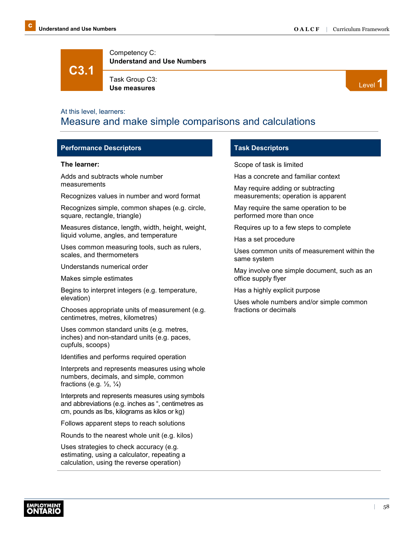**C3.1**

Competency C: **Understand and Use Numbers** 

Task Group C3: Task Group C3:<br>Use measures **1 <b>Level 1** 



# At this level, learners: Measure and make simple comparisons and calculations

## **Performance Descriptors**

#### **The learner:**

Adds and subtracts whole number measurements

Recognizes values in number and word format

Recognizes simple, common shapes (e.g. circle, square, rectangle, triangle)

Measures distance, length, width, height, weight, liquid volume, angles, and temperature

Uses common measuring tools, such as rulers, scales, and thermometers

Understands numerical order

Makes simple estimates

Begins to interpret integers (e.g. temperature, elevation)

Chooses appropriate units of measurement (e.g. centimetres, metres, kilometres)

Uses common standard units (e.g. metres, inches) and non-standard units (e.g. paces, cupfuls, scoops)

Identifies and performs required operation

Interprets and represents measures using whole numbers, decimals, and simple, common fractions (e.g.  $\frac{1}{2}$ ,  $\frac{1}{4}$ )

Interprets and represents measures using symbols and abbreviations (e.g. inches as ", centimetres as cm, pounds as lbs, kilograms as kilos or kg)

Follows apparent steps to reach solutions

Rounds to the nearest whole unit (e.g. kilos)

Uses strategies to check accuracy (e.g. estimating, using a calculator, repeating a calculation, using the reverse operation)

## **Task Descriptors**

Scope of task is limited

Has a concrete and familiar context

May require adding or subtracting measurements; operation is apparent

May require the same operation to be performed more than once

Requires up to a few steps to complete

Has a set procedure

Uses common units of measurement within the same system

May involve one simple document, such as an office supply flyer

Has a highly explicit purpose

Uses whole numbers and/or simple common fractions or decimals

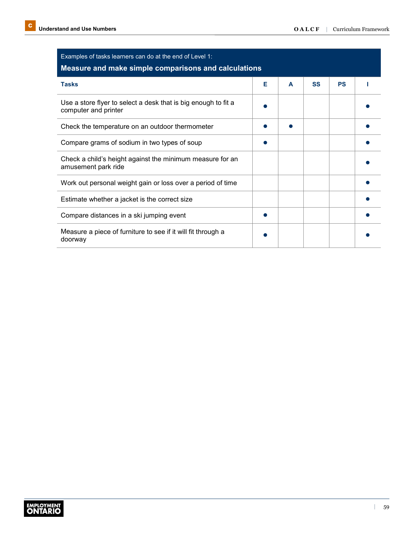| Examples of tasks learners can do at the end of Level 1:<br>Measure and make simple comparisons and calculations |   |   |           |           |  |  |
|------------------------------------------------------------------------------------------------------------------|---|---|-----------|-----------|--|--|
| <b>Tasks</b>                                                                                                     | Е | A | <b>SS</b> | <b>PS</b> |  |  |
| Use a store flyer to select a desk that is big enough to fit a<br>computer and printer                           |   |   |           |           |  |  |
| Check the temperature on an outdoor thermometer                                                                  |   |   |           |           |  |  |
| Compare grams of sodium in two types of soup                                                                     |   |   |           |           |  |  |
| Check a child's height against the minimum measure for an<br>amusement park ride                                 |   |   |           |           |  |  |
| Work out personal weight gain or loss over a period of time                                                      |   |   |           |           |  |  |
| Estimate whether a jacket is the correct size                                                                    |   |   |           |           |  |  |
| Compare distances in a ski jumping event                                                                         |   |   |           |           |  |  |
| Measure a piece of furniture to see if it will fit through a<br>doorway                                          |   |   |           |           |  |  |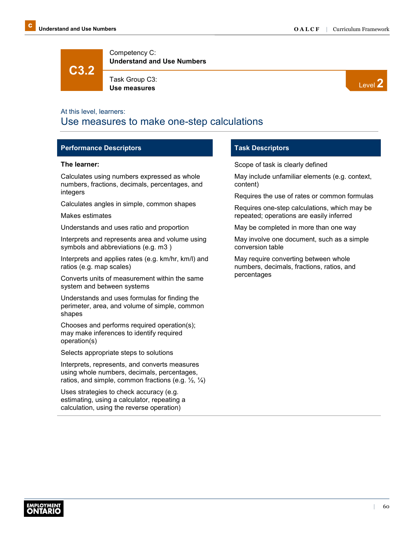**C3.2**

Competency C: **Understand and Use Numbers** 

Task Group C3: Task Group C3:<br>Use measures **2** 



# At this level, learners: Use measures to make one-step calculations

## **Performance Descriptors**

#### **The learner:**

Calculates using numbers expressed as whole numbers, fractions, decimals, percentages, and integers

Calculates angles in simple, common shapes

Makes estimates

Understands and uses ratio and proportion

Interprets and represents area and volume using symbols and abbreviations (e.g. m3 )

Interprets and applies rates (e.g. km/hr, km/l) and ratios (e.g. map scales)

Converts units of measurement within the same system and between systems

Understands and uses formulas for finding the perimeter, area, and volume of simple, common shapes

Chooses and performs required operation(s); may make inferences to identify required operation(s)

Selects appropriate steps to solutions

Interprets, represents, and converts measures using whole numbers, decimals, percentages, ratios, and simple, common fractions (e.g. ½, ¼)

Uses strategies to check accuracy (e.g. estimating, using a calculator, repeating a calculation, using the reverse operation)

## **Task Descriptors**

Scope of task is clearly defined

May include unfamiliar elements (e.g. context, content)

Requires the use of rates or common formulas

Requires one-step calculations, which may be repeated; operations are easily inferred

May be completed in more than one way

May involve one document, such as a simple conversion table

May require converting between whole numbers, decimals, fractions, ratios, and percentages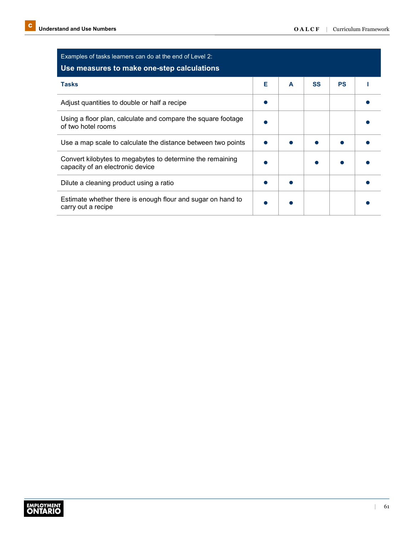| Examples of tasks learners can do at the end of Level 2:<br>Use measures to make one-step calculations |   |   |           |           |  |
|--------------------------------------------------------------------------------------------------------|---|---|-----------|-----------|--|
| <b>Tasks</b>                                                                                           | Е | A | <b>SS</b> | <b>PS</b> |  |
| Adjust quantities to double or half a recipe                                                           |   |   |           |           |  |
| Using a floor plan, calculate and compare the square footage<br>of two hotel rooms                     |   |   |           |           |  |
| Use a map scale to calculate the distance between two points                                           |   |   |           |           |  |
| Convert kilobytes to megabytes to determine the remaining<br>capacity of an electronic device          |   |   |           |           |  |
| Dilute a cleaning product using a ratio                                                                |   |   |           |           |  |
| Estimate whether there is enough flour and sugar on hand to<br>carry out a recipe                      |   |   |           |           |  |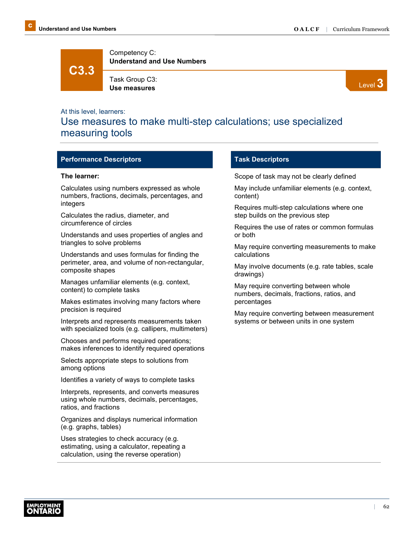**C3.3**

Competency C: **Understand and Use Numbers** 

Task Group C3: Task Group C3:<br>Use measures **3** 



# At this level, learners: Use measures to make multi-step calculations; use specialized measuring tools

## **Performance Descriptors**

#### **The learner:**

Calculates using numbers expressed as whole numbers, fractions, decimals, percentages, and integers

Calculates the radius, diameter, and circumference of circles

Understands and uses properties of angles and triangles to solve problems

Understands and uses formulas for finding the perimeter, area, and volume of non-rectangular, composite shapes

Manages unfamiliar elements (e.g. context, content) to complete tasks

Makes estimates involving many factors where precision is required

Interprets and represents measurements taken with specialized tools (e.g. callipers, multimeters)

Chooses and performs required operations; makes inferences to identify required operations

Selects appropriate steps to solutions from among options

Identifies a variety of ways to complete tasks

Interprets, represents, and converts measures using whole numbers, decimals, percentages, ratios, and fractions

Organizes and displays numerical information (e.g. graphs, tables)

Uses strategies to check accuracy (e.g. estimating, using a calculator, repeating a calculation, using the reverse operation)

## **Task Descriptors**

Scope of task may not be clearly defined

May include unfamiliar elements (e.g. context, content)

Requires multi-step calculations where one step builds on the previous step

Requires the use of rates or common formulas or both

May require converting measurements to make calculations

May involve documents (e.g. rate tables, scale drawings)

May require converting between whole numbers, decimals, fractions, ratios, and percentages

May require converting between measurement systems or between units in one system

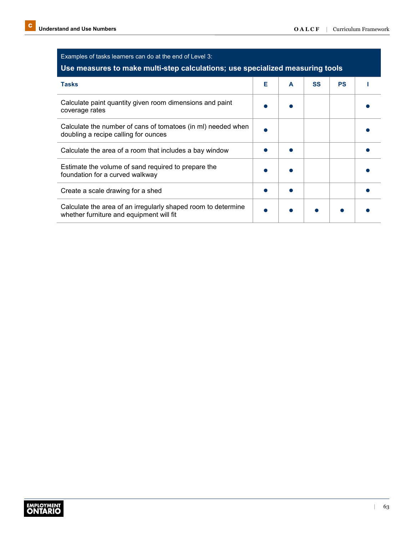| Examples of tasks learners can do at the end of Level 3:<br>Use measures to make multi-step calculations; use specialized measuring tools |   |   |           |           |  |
|-------------------------------------------------------------------------------------------------------------------------------------------|---|---|-----------|-----------|--|
| <b>Tasks</b>                                                                                                                              | F | A | <b>SS</b> | <b>PS</b> |  |
| Calculate paint quantity given room dimensions and paint<br>coverage rates                                                                |   |   |           |           |  |
| Calculate the number of cans of tomatoes (in mI) needed when<br>doubling a recipe calling for ounces                                      |   |   |           |           |  |
| Calculate the area of a room that includes a bay window                                                                                   |   |   |           |           |  |
| Estimate the volume of sand required to prepare the<br>foundation for a curved walkway                                                    |   |   |           |           |  |
| Create a scale drawing for a shed                                                                                                         |   |   |           |           |  |
| Calculate the area of an irregularly shaped room to determine<br>whether furniture and equipment will fit                                 |   |   |           |           |  |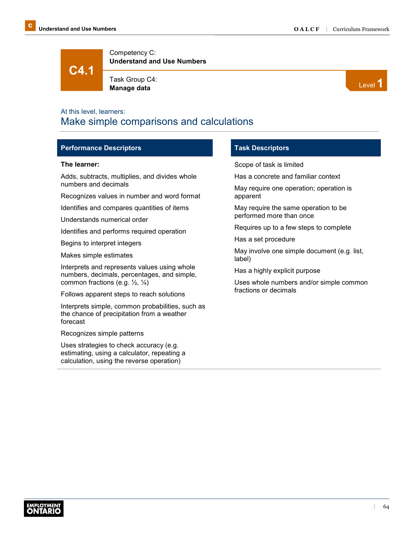**C4.1**

Competency C: **Understand and Use Numbers** 

Task Group C4: **Manage data** Level **1** 



# At this level, learners: Make simple comparisons and calculations

## **Performance Descriptors**

#### **The learner:**

Adds, subtracts, multiplies, and divides whole numbers and decimals

Recognizes values in number and word format

Identifies and compares quantities of items

Understands numerical order

Identifies and performs required operation

Begins to interpret integers

Makes simple estimates

Interprets and represents values using whole numbers, decimals, percentages, and simple, common fractions (e.g. ½, ¼)

Follows apparent steps to reach solutions

Interprets simple, common probabilities, such as the chance of precipitation from a weather forecast

Recognizes simple patterns

Uses strategies to check accuracy (e.g. estimating, using a calculator, repeating a calculation, using the reverse operation)

#### **Task Descriptors**

Scope of task is limited

Has a concrete and familiar context

May require one operation; operation is apparent

May require the same operation to be performed more than once

Requires up to a few steps to complete

Has a set procedure

May involve one simple document (e.g. list, label)

Has a highly explicit purpose

Uses whole numbers and/or simple common fractions or decimals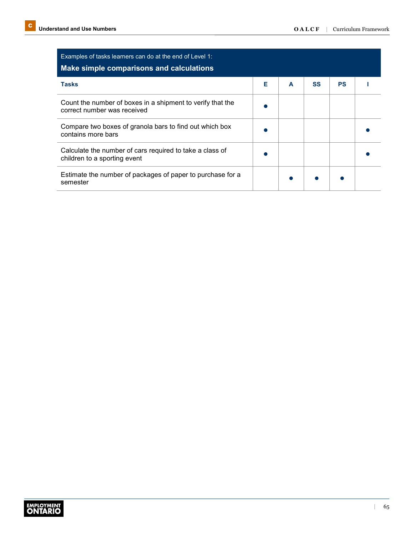| Examples of tasks learners can do at the end of Level 1:<br>Make simple comparisons and calculations |   |   |           |           |  |
|------------------------------------------------------------------------------------------------------|---|---|-----------|-----------|--|
| <b>Tasks</b>                                                                                         | Е | A | <b>SS</b> | <b>PS</b> |  |
| Count the number of boxes in a shipment to verify that the<br>correct number was received            |   |   |           |           |  |
| Compare two boxes of granola bars to find out which box<br>contains more bars                        |   |   |           |           |  |
| Calculate the number of cars required to take a class of<br>children to a sporting event             |   |   |           |           |  |
| Estimate the number of packages of paper to purchase for a<br>semester                               |   |   |           |           |  |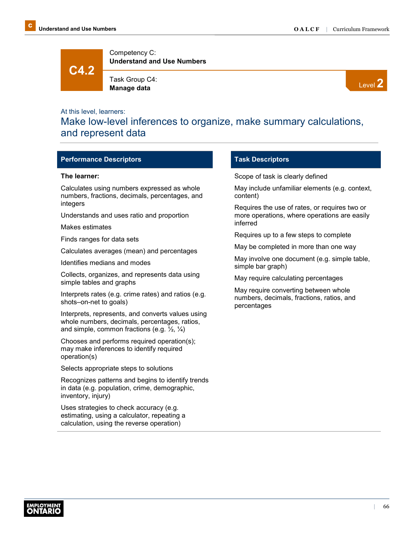**C4.2**

Competency C: **Understand and Use Numbers** 

Task Group C4: **Manage data** Level **2** 



#### At this level, learners:

Make low-level inferences to organize, make summary calculations, and represent data

#### **Performance Descriptors**

#### **The learner:**

Calculates using numbers expressed as whole numbers, fractions, decimals, percentages, and integers

Understands and uses ratio and proportion

Makes estimates

Finds ranges for data sets

Calculates averages (mean) and percentages

Identifies medians and modes

Collects, organizes, and represents data using simple tables and graphs

Interprets rates (e.g. crime rates) and ratios (e.g. shots–on-net to goals)

Interprets, represents, and converts values using whole numbers, decimals, percentages, ratios, and simple, common fractions (e.g. ½, ¼)

Chooses and performs required operation(s); may make inferences to identify required operation(s)

Selects appropriate steps to solutions

Recognizes patterns and begins to identify trends in data (e.g. population, crime, demographic, inventory, injury)

Uses strategies to check accuracy (e.g. estimating, using a calculator, repeating a calculation, using the reverse operation)

#### **Task Descriptors**

Scope of task is clearly defined

May include unfamiliar elements (e.g. context, content)

Requires the use of rates, or requires two or more operations, where operations are easily inferred

Requires up to a few steps to complete

May be completed in more than one way

May involve one document (e.g. simple table, simple bar graph)

May require calculating percentages

May require converting between whole numbers, decimals, fractions, ratios, and percentages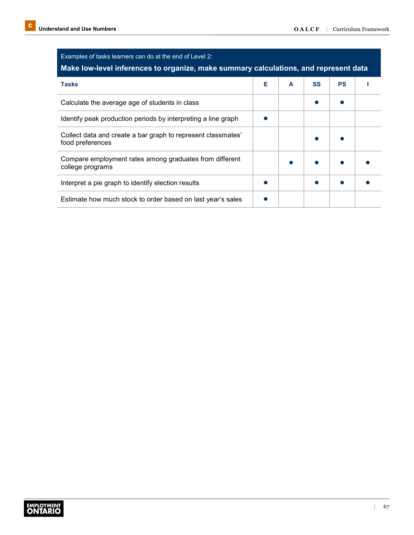| Examples of tasks learners can do at the end of Level 2:<br>Make low-level inferences to organize, make summary calculations, and represent data |   |   |           |           |  |
|--------------------------------------------------------------------------------------------------------------------------------------------------|---|---|-----------|-----------|--|
| <b>Tasks</b>                                                                                                                                     | Е | A | <b>SS</b> | <b>PS</b> |  |
| Calculate the average age of students in class                                                                                                   |   |   |           |           |  |
| Identify peak production periods by interpreting a line graph                                                                                    |   |   |           |           |  |
| Collect data and create a bar graph to represent classmates'<br>food preferences                                                                 |   |   |           |           |  |
| Compare employment rates among graduates from different<br>college programs                                                                      |   |   |           |           |  |
| Interpret a pie graph to identify election results                                                                                               |   |   |           |           |  |
| Estimate how much stock to order based on last year's sales                                                                                      |   |   |           |           |  |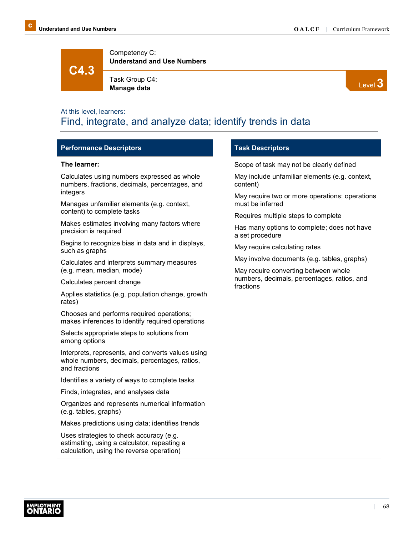**C4.3**

Competency C: **Understand and Use Numbers** 

Task Group C4: **Manage data** Level **3** 



# At this level, learners: Find, integrate, and analyze data; identify trends in data

## **Performance Descriptors**

#### **The learner:**

Calculates using numbers expressed as whole numbers, fractions, decimals, percentages, and integers

Manages unfamiliar elements (e.g. context, content) to complete tasks

Makes estimates involving many factors where precision is required

Begins to recognize bias in data and in displays, such as graphs

Calculates and interprets summary measures (e.g. mean, median, mode)

Calculates percent change

Applies statistics (e.g. population change, growth rates)

Chooses and performs required operations; makes inferences to identify required operations

Selects appropriate steps to solutions from among options

Interprets, represents, and converts values using whole numbers, decimals, percentages, ratios, and fractions

Identifies a variety of ways to complete tasks

Finds, integrates, and analyses data

Organizes and represents numerical information (e.g. tables, graphs)

Makes predictions using data; identifies trends

Uses strategies to check accuracy (e.g. estimating, using a calculator, repeating a calculation, using the reverse operation)

#### **Task Descriptors**

Scope of task may not be clearly defined

May include unfamiliar elements (e.g. context, content)

May require two or more operations; operations must be inferred

Requires multiple steps to complete

Has many options to complete; does not have a set procedure

May require calculating rates

May involve documents (e.g. tables, graphs)

May require converting between whole numbers, decimals, percentages, ratios, and fractions

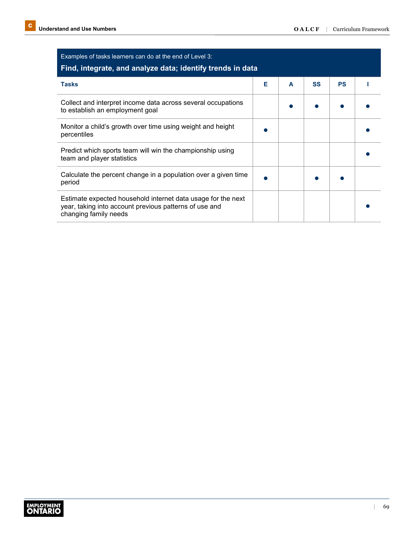| Examples of tasks learners can do at the end of Level 3:<br>Find, integrate, and analyze data; identify trends in data                          |   |   |           |           |  |
|-------------------------------------------------------------------------------------------------------------------------------------------------|---|---|-----------|-----------|--|
| <b>Tasks</b>                                                                                                                                    | Е | A | <b>SS</b> | <b>PS</b> |  |
| Collect and interpret income data across several occupations<br>to establish an employment goal                                                 |   |   |           |           |  |
| Monitor a child's growth over time using weight and height<br>percentiles                                                                       |   |   |           |           |  |
| Predict which sports team will win the championship using<br>team and player statistics                                                         |   |   |           |           |  |
| Calculate the percent change in a population over a given time<br>period                                                                        |   |   |           |           |  |
| Estimate expected household internet data usage for the next<br>year, taking into account previous patterns of use and<br>changing family needs |   |   |           |           |  |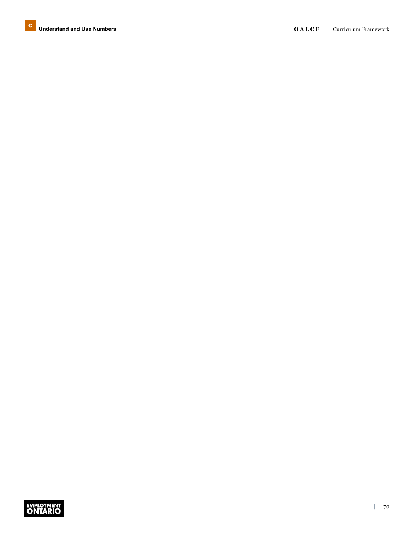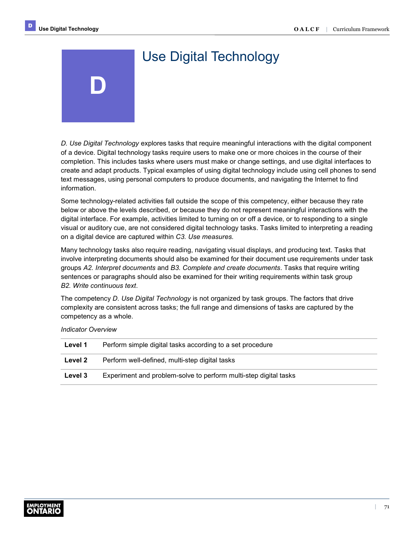**D**

# Use Digital Technology

*D. Use Digital Technology* explores tasks that require meaningful interactions with the digital component of a device. Digital technology tasks require users to make one or more choices in the course of their completion. This includes tasks where users must make or change settings, and use digital interfaces to create and adapt products. Typical examples of using digital technology include using cell phones to send text messages, using personal computers to produce documents, and navigating the Internet to find information.

Some technology-related activities fall outside the scope of this competency, either because they rate below or above the levels described, or because they do not represent meaningful interactions with the digital interface. For example, activities limited to turning on or off a device, or to responding to a single visual or auditory cue, are not considered digital technology tasks. Tasks limited to interpreting a reading on a digital device are captured within *C3. Use measures.*

Many technology tasks also require reading, navigating visual displays, and producing text. Tasks that involve interpreting documents should also be examined for their document use requirements under task groups *A2. Interpret documents* and *B3. Complete and create documents*. Tasks that require writing sentences or paragraphs should also be examined for their writing requirements within task group *B2. Write continuous text*.

The competency *D. Use Digital Technology* is not organized by task groups. The factors that drive complexity are consistent across tasks; the full range and dimensions of tasks are captured by the competency as a whole.

*Indicator Overview* 

| Level 1 | Perform simple digital tasks according to a set procedure        |
|---------|------------------------------------------------------------------|
| Level 2 | Perform well-defined, multi-step digital tasks                   |
| Level 3 | Experiment and problem-solve to perform multi-step digital tasks |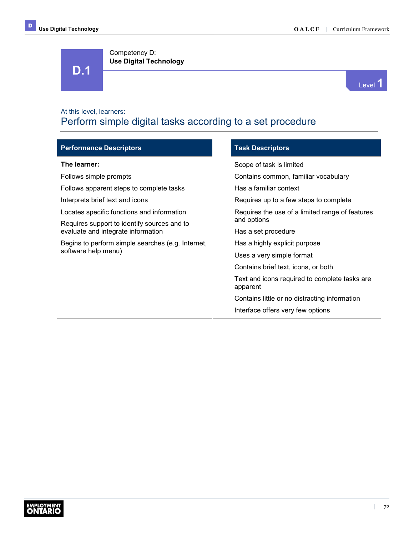**D.1**

Competency D:

**Use Digital Technology** 

Level **1** 

## At this level, learners: Perform simple digital tasks according to a set procedure

| <b>Performance Descriptors</b>                    | <b>Task Descriptors</b>                                   |             |  |  |  |
|---------------------------------------------------|-----------------------------------------------------------|-------------|--|--|--|
| The learner:                                      | Scope of task is limited                                  |             |  |  |  |
| Follows simple prompts                            | Contains common, familiar vocabulary                      |             |  |  |  |
| Follows apparent steps to complete tasks          | Has a familiar context                                    |             |  |  |  |
| Interprets brief text and icons                   | Requires up to a few steps to complete                    |             |  |  |  |
| Locates specific functions and information        | Requires the use of a limited range of features           |             |  |  |  |
| Requires support to identify sources and to       |                                                           | and options |  |  |  |
| evaluate and integrate information                | Has a set procedure                                       |             |  |  |  |
| Begins to perform simple searches (e.g. Internet, | Has a highly explicit purpose                             |             |  |  |  |
| software help menu)                               | Uses a very simple format                                 |             |  |  |  |
|                                                   | Contains brief text, icons, or both                       |             |  |  |  |
|                                                   | Text and icons required to complete tasks are<br>apparent |             |  |  |  |
|                                                   | Contains little or no distracting information             |             |  |  |  |
|                                                   | Interface offers very few options                         |             |  |  |  |
|                                                   |                                                           |             |  |  |  |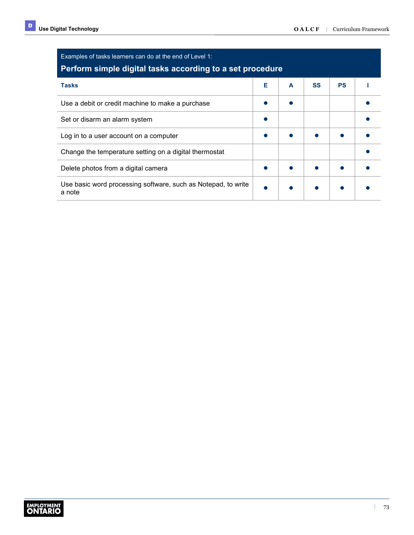| Examples of tasks learners can do at the end of Level 1:<br>Perform simple digital tasks according to a set procedure |   |   |           |           |  |
|-----------------------------------------------------------------------------------------------------------------------|---|---|-----------|-----------|--|
| <b>Tasks</b>                                                                                                          | Е | A | <b>SS</b> | <b>PS</b> |  |
| Use a debit or credit machine to make a purchase                                                                      |   |   |           |           |  |
| Set or disarm an alarm system                                                                                         |   |   |           |           |  |
| Log in to a user account on a computer                                                                                |   |   |           |           |  |
| Change the temperature setting on a digital thermostat                                                                |   |   |           |           |  |
| Delete photos from a digital camera                                                                                   |   |   |           |           |  |
| Use basic word processing software, such as Notepad, to write<br>a note                                               |   |   |           |           |  |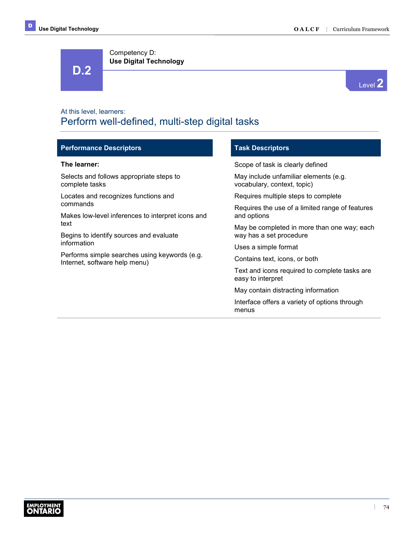Competency D: **Use Digital Technology D.2**



## At this level, learners: Perform well-defined, multi-step digital tasks

#### **Performance Descriptors**

#### **The learner:**

Selects and follows appropriate steps to complete tasks

Locates and recognizes functions and commands

Makes low-level inferences to interpret icons and text

Begins to identify sources and evaluate information

Performs simple searches using keywords (e.g. Internet, software help menu)

#### **Task Descriptors**

Scope of task is clearly defined

May include unfamiliar elements (e.g. vocabulary, context, topic)

Requires multiple steps to complete

Requires the use of a limited range of features and options

May be completed in more than one way; each way has a set procedure

Uses a simple format

Contains text, icons, or both

Text and icons required to complete tasks are easy to interpret

May contain distracting information

Interface offers a variety of options through menus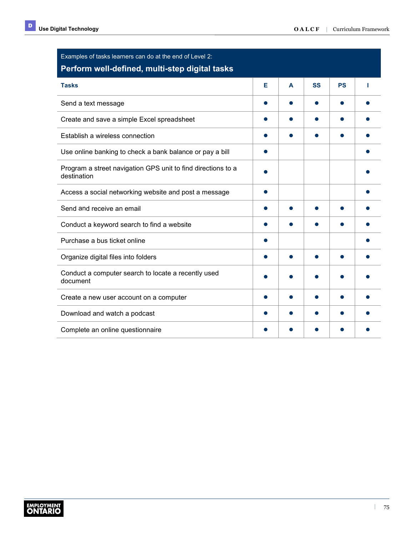| Examples of tasks learners can do at the end of Level 2:<br>Perform well-defined, multi-step digital tasks |   |   |    |           |  |
|------------------------------------------------------------------------------------------------------------|---|---|----|-----------|--|
| <b>Tasks</b>                                                                                               | Е | A | SS | <b>PS</b> |  |
| Send a text message                                                                                        |   |   |    |           |  |
| Create and save a simple Excel spreadsheet                                                                 |   |   |    |           |  |
| Establish a wireless connection                                                                            |   |   |    |           |  |
| Use online banking to check a bank balance or pay a bill                                                   |   |   |    |           |  |
| Program a street navigation GPS unit to find directions to a<br>destination                                |   |   |    |           |  |
| Access a social networking website and post a message                                                      |   |   |    |           |  |
| Send and receive an email                                                                                  |   |   |    |           |  |
| Conduct a keyword search to find a website                                                                 |   |   |    |           |  |
| Purchase a bus ticket online                                                                               |   |   |    |           |  |
| Organize digital files into folders                                                                        |   |   |    |           |  |
| Conduct a computer search to locate a recently used<br>document                                            |   |   |    |           |  |
| Create a new user account on a computer                                                                    |   |   |    |           |  |
| Download and watch a podcast                                                                               |   |   |    |           |  |
| Complete an online questionnaire                                                                           |   |   |    |           |  |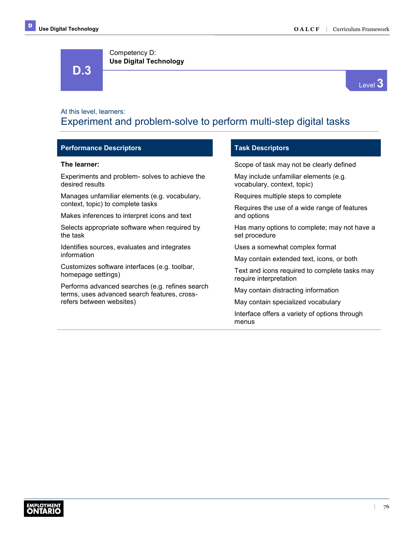Competency D: **Use Digital Technology** 

Level **3** 

### At this level, learners: Experiment and problem-solve to perform multi-step digital tasks

#### **Performance Descriptors**

#### **The learner:**

**D.3**

Experiments and problem- solves to achieve the desired results

Manages unfamiliar elements (e.g. vocabulary, context, topic) to complete tasks

Makes inferences to interpret icons and text

Selects appropriate software when required by the task

Identifies sources, evaluates and integrates information

Customizes software interfaces (e.g. toolbar, homepage settings)

Performs advanced searches (e.g. refines search terms, uses advanced search features, crossrefers between websites)

#### **Task Descriptors**

Scope of task may not be clearly defined

May include unfamiliar elements (e.g. vocabulary, context, topic)

Requires multiple steps to complete

Requires the use of a wide range of features and options

Has many options to complete; may not have a set procedure

Uses a somewhat complex format

May contain extended text, icons, or both

Text and icons required to complete tasks may require interpretation

May contain distracting information

May contain specialized vocabulary

Interface offers a variety of options through menus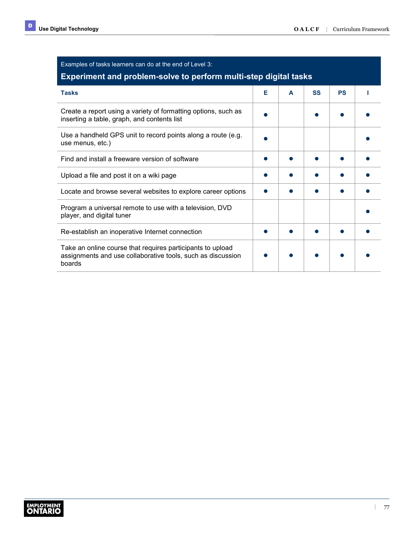| Examples of tasks learners can do at the end of Level 3:<br>Experiment and problem-solve to perform multi-step digital tasks        |   |   |           |           |  |
|-------------------------------------------------------------------------------------------------------------------------------------|---|---|-----------|-----------|--|
| <b>Tasks</b>                                                                                                                        | Е | A | <b>SS</b> | <b>PS</b> |  |
| Create a report using a variety of formatting options, such as<br>inserting a table, graph, and contents list                       |   |   |           |           |  |
| Use a handheld GPS unit to record points along a route (e.g.<br>use menus, etc.)                                                    |   |   |           |           |  |
| Find and install a freeware version of software                                                                                     |   |   |           |           |  |
| Upload a file and post it on a wiki page                                                                                            |   |   |           |           |  |
| Locate and browse several websites to explore career options                                                                        |   |   |           |           |  |
| Program a universal remote to use with a television, DVD<br>player, and digital tuner                                               |   |   |           |           |  |
| Re-establish an inoperative Internet connection                                                                                     |   |   |           |           |  |
| Take an online course that requires participants to upload<br>assignments and use collaborative tools, such as discussion<br>boards |   |   |           |           |  |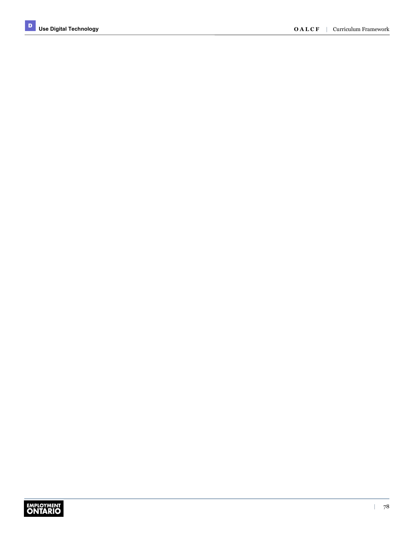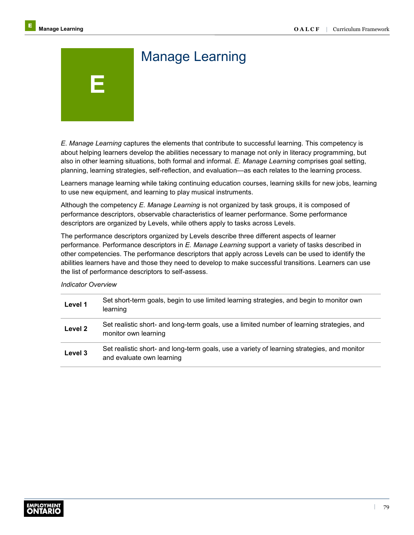# Manage Learning

*E. Manage Learning* captures the elements that contribute to successful learning. This competency is about helping learners develop the abilities necessary to manage not only in literacy programming, but also in other learning situations, both formal and informal. *E. Manage Learning* comprises goal setting, planning, learning strategies, self-reflection, and evaluation—as each relates to the learning process.

Learners manage learning while taking continuing education courses, learning skills for new jobs, learning to use new equipment, and learning to play musical instruments.

Although the competency *E. Manage Learning* is not organized by task groups, it is composed of performance descriptors, observable characteristics of learner performance. Some performance descriptors are organized by Levels, while others apply to tasks across Levels.

The performance descriptors organized by Levels describe three different aspects of learner performance. Performance descriptors in *E. Manage Learning* support a variety of tasks described in other competencies. The performance descriptors that apply across Levels can be used to identify the abilities learners have and those they need to develop to make successful transitions. Learners can use the list of performance descriptors to self-assess.

*Indicator Overview* 

**E** 

| Level 1 | Set short-term goals, begin to use limited learning strategies, and begin to monitor own<br>learning                     |
|---------|--------------------------------------------------------------------------------------------------------------------------|
| Level 2 | Set realistic short- and long-term goals, use a limited number of learning strategies, and<br>monitor own learning       |
| Level 3 | Set realistic short- and long-term goals, use a variety of learning strategies, and monitor<br>and evaluate own learning |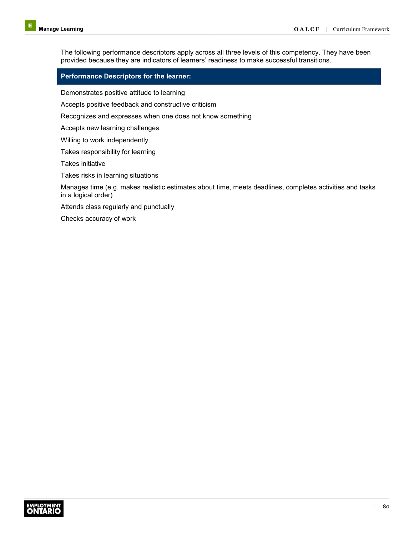The following performance descriptors apply across all three levels of this competency. They have been provided because they are indicators of learners' readiness to make successful transitions.

#### **Performance Descriptors for the learner:**

Demonstrates positive attitude to learning

Accepts positive feedback and constructive criticism

Recognizes and expresses when one does not know something

Accepts new learning challenges

Willing to work independently

Takes responsibility for learning

Takes initiative

Takes risks in learning situations

Manages time (e.g. makes realistic estimates about time, meets deadlines, completes activities and tasks in a logical order)

Attends class regularly and punctually

Checks accuracy of work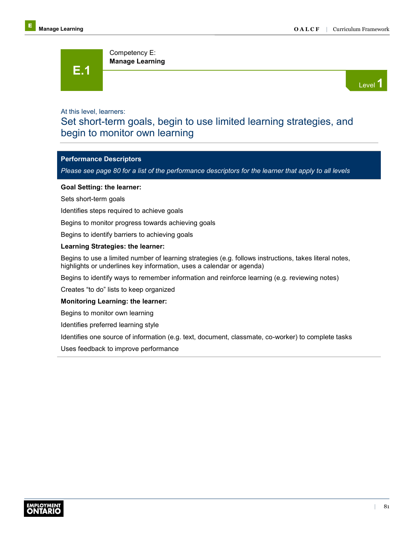**E.1**

Level **1** 

#### At this level, learners:

# Set short-term goals, begin to use limited learning strategies, and begin to monitor own learning

#### **Performance Descriptors**

*Please see page 80 for a list of the performance descriptors for the learner that apply to all levels* 

#### **Goal Setting: the learner:**

Sets short-term goals

Identifies steps required to achieve goals

Begins to monitor progress towards achieving goals

Competency E: **Manage Learning** 

Begins to identify barriers to achieving goals

#### **Learning Strategies: the learner:**

Begins to use a limited number of learning strategies (e.g. follows instructions, takes literal notes, highlights or underlines key information, uses a calendar or agenda)

Begins to identify ways to remember information and reinforce learning (e.g. reviewing notes)

Creates "to do" lists to keep organized

#### **Monitoring Learning: the learner:**

Begins to monitor own learning

Identifies preferred learning style

Identifies one source of information (e.g. text, document, classmate, co-worker) to complete tasks

Uses feedback to improve performance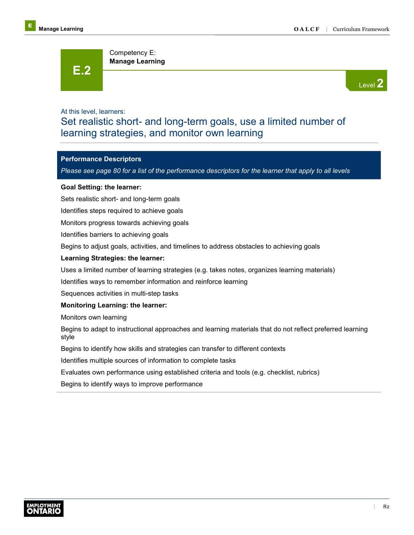**E.2**

Level **2** 

#### At this level, learners:

# Set realistic short- and long-term goals, use a limited number of learning strategies, and monitor own learning

#### **Performance Descriptors**

*Please see page 80 for a list of the performance descriptors for the learner that apply to all levels* 

#### **Goal Setting: the learner:**

Sets realistic short- and long-term goals

Identifies steps required to achieve goals

Monitors progress towards achieving goals

Competency E: **Manage Learning** 

Identifies barriers to achieving goals

Begins to adjust goals, activities, and timelines to address obstacles to achieving goals

#### **Learning Strategies: the learner:**

Uses a limited number of learning strategies (e.g. takes notes, organizes learning materials)

Identifies ways to remember information and reinforce learning

Sequences activities in multi-step tasks

#### **Monitoring Learning: the learner:**

Monitors own learning

Begins to adapt to instructional approaches and learning materials that do not reflect preferred learning style

Begins to identify how skills and strategies can transfer to different contexts

Identifies multiple sources of information to complete tasks

Evaluates own performance using established criteria and tools (e.g. checklist, rubrics)

Begins to identify ways to improve performance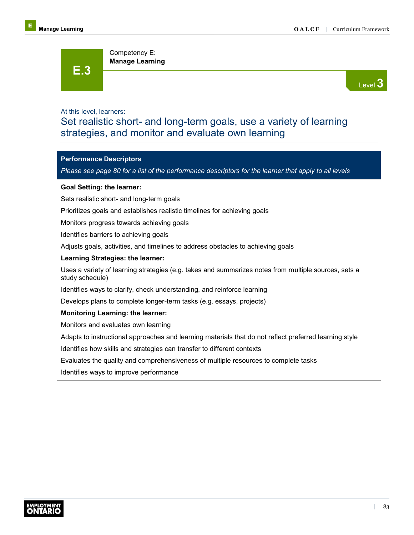**E.3**

Level **3** 

#### At this level, learners:

# Set realistic short- and long-term goals, use a variety of learning strategies, and monitor and evaluate own learning

#### **Performance Descriptors**

*Please see page 80 for a list of the performance descriptors for the learner that apply to all levels* 

#### **Goal Setting: the learner:**

Sets realistic short- and long-term goals

Competency E: **Manage Learning** 

Prioritizes goals and establishes realistic timelines for achieving goals

Monitors progress towards achieving goals

Identifies barriers to achieving goals

Adjusts goals, activities, and timelines to address obstacles to achieving goals

#### **Learning Strategies: the learner:**

Uses a variety of learning strategies (e.g. takes and summarizes notes from multiple sources, sets a study schedule)

Identifies ways to clarify, check understanding, and reinforce learning

Develops plans to complete longer-term tasks (e.g. essays, projects)

#### **Monitoring Learning: the learner:**

Monitors and evaluates own learning

Adapts to instructional approaches and learning materials that do not reflect preferred learning style

Identifies how skills and strategies can transfer to different contexts

Evaluates the quality and comprehensiveness of multiple resources to complete tasks

Identifies ways to improve performance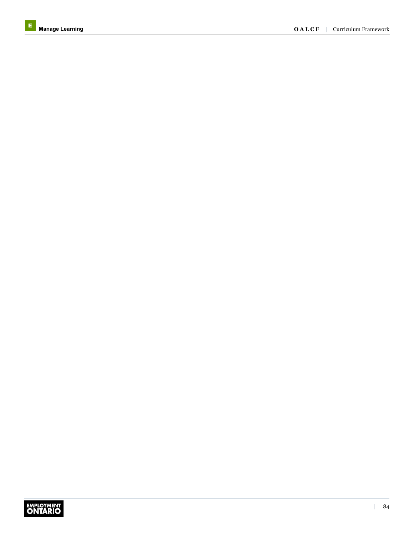

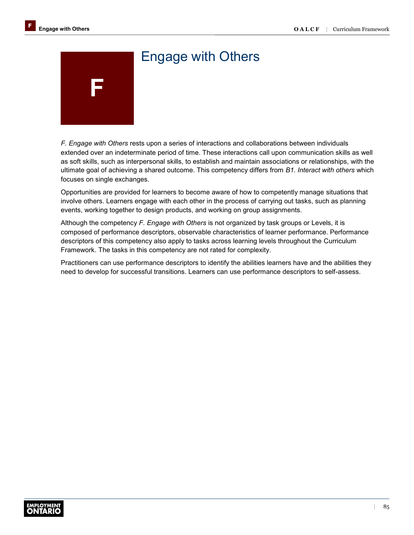# **F**

*F. Engage with Others* rests upon a series of interactions and collaborations between individuals extended over an indeterminate period of time. These interactions call upon communication skills as well as soft skills, such as interpersonal skills, to establish and maintain associations or relationships, with the ultimate goal of achieving a shared outcome. This competency differs from *B1. Interact with others* which focuses on single exchanges.

Engage with Others

Opportunities are provided for learners to become aware of how to competently manage situations that involve others. Learners engage with each other in the process of carrying out tasks, such as planning events, working together to design products, and working on group assignments.

Although the competency *F. Engage with Others* is not organized by task groups or Levels, it is composed of performance descriptors, observable characteristics of learner performance. Performance descriptors of this competency also apply to tasks across learning levels throughout the Curriculum Framework. The tasks in this competency are not rated for complexity.

Practitioners can use performance descriptors to identify the abilities learners have and the abilities they need to develop for successful transitions. Learners can use performance descriptors to self-assess.